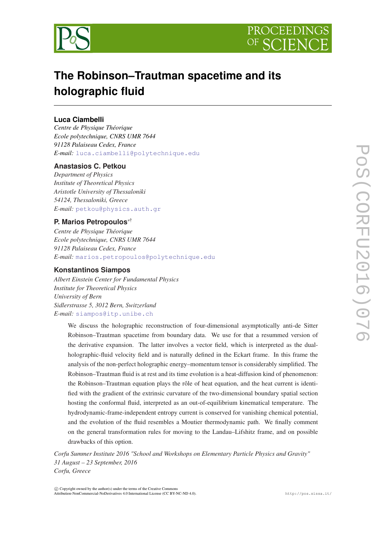



# **The Robinson–Trautman spacetime and its holographic fluid**

# **Luca Ciambelli**

*Centre de Physique Théorique Ecole polytechnique, CNRS UMR 7644 91128 Palaiseau Cedex, France E-mail:* [luca.ciambelli@polytechnique.edu](mailto:luca.ciambelli@polytechnique.edu)

# **Anastasios C. Petkou**

*Department of Physics Institute of Theoretical Physics Aristotle University of Thessaloniki 54124, Thessaloniki, Greece E-mail:* [petkou@physics.auth.gr](mailto:petkou@physics.auth.gr)

## **P. Marios Petropoulos**∗†

*Centre de Physique Théorique Ecole polytechnique, CNRS UMR 7644 91128 Palaiseau Cedex, France E-mail:* [marios.petropoulos@polytechnique.edu](mailto:marios.petropoulos@polytechnique.edu)

# **Konstantinos Siampos**

*Albert Einstein Center for Fundamental Physics Institute for Theoretical Physics University of Bern Sidlerstrasse 5, 3012 Bern, Switzerland E-mail:* [siampos@itp.unibe.ch](mailto:siampos@itp.unibe.ch)

> We discuss the holographic reconstruction of four-dimensional asymptotically anti-de Sitter Robinson–Trautman spacetime from boundary data. We use for that a resummed version of the derivative expansion. The latter involves a vector field, which is interpreted as the dualholographic-fluid velocity field and is naturally defined in the Eckart frame. In this frame the analysis of the non-perfect holographic energy–momentum tensor is considerably simplified. The Robinson–Trautman fluid is at rest and its time evolution is a heat-diffusion kind of phenomenon: the Robinson–Trautman equation plays the rôle of heat equation, and the heat current is identified with the gradient of the extrinsic curvature of the two-dimensional boundary spatial section hosting the conformal fluid, interpreted as an out-of-equilibrium kinematical temperature. The hydrodynamic-frame-independent entropy current is conserved for vanishing chemical potential, and the evolution of the fluid resembles a Moutier thermodynamic path. We finally comment on the general transformation rules for moving to the Landau–Lifshitz frame, and on possible drawbacks of this option.

*Corfu Summer Institute 2016 "School and Workshops on Elementary Particle Physics and Gravity" 31 August – 23 September, 2016 Corfu, Greece*

 $\overline{c}$  Copyright owned by the author(s) under the terms of the Creative Commons Attribution-NonCommercial-NoDerivatives 4.0 International License (CC BY-NC-ND 4.0). http://pos.sissa.it/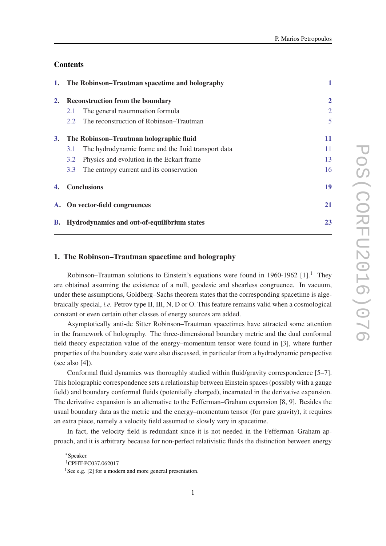# **Contents**

| 1. |                                                       | The Robinson–Trautman spacetime and holography      | 1              |
|----|-------------------------------------------------------|-----------------------------------------------------|----------------|
| 2. | <b>Reconstruction from the boundary</b>               |                                                     | $\overline{2}$ |
|    | 2.1                                                   | The general resummation formula                     | $\overline{2}$ |
|    | 2.2                                                   | The reconstruction of Robinson–Trautman             | 5              |
| 3. | The Robinson–Trautman holographic fluid               |                                                     | 11             |
|    | 3.1                                                   | The hydrodynamic frame and the fluid transport data | 11             |
|    | 3.2                                                   | Physics and evolution in the Eckart frame           | 13             |
|    | 3.3                                                   | The entropy current and its conservation            | 16             |
| 4. | <b>Conclusions</b>                                    |                                                     | 19             |
|    | A. On vector-field congruences                        |                                                     | <b>21</b>      |
|    | <b>B.</b> Hydrodynamics and out-of-equilibrium states |                                                     | 23             |

## 1. The Robinson–Trautman spacetime and holography

Robinson–Trautman solutions to Einstein's equations were found in 1960-1962  $[1]$ .<sup>1</sup> They are obtained assuming the existence of a null, geodesic and shearless congruence. In vacuum, under these assumptions, Goldberg–Sachs theorem states that the corresponding spacetime is algebraically special, *i.e.* Petrov type II, III, N, D or O. This feature remains valid when a cosmological constant or even certain other classes of energy sources are added.

Asymptotically anti-de Sitter Robinson–Trautman spacetimes have attracted some attention in the framework of holography. The three-dimensional boundary metric and the dual conformal field theory expectation value of the energy–momentum tensor were found in [3], where further properties of the boundary state were also discussed, in particular from a hydrodynamic perspective (see also [4]).

Conformal fluid dynamics was thoroughly studied within fluid/gravity correspondence [5–7]. This holographic correspondence sets a relationship between Einstein spaces (possibly with a gauge field) and boundary conformal fluids (potentially charged), incarnated in the derivative expansion. The derivative expansion is an alternative to the Fefferman–Graham expansion [8, 9]. Besides the usual boundary data as the metric and the energy–momentum tensor (for pure gravity), it requires an extra piece, namely a velocity field assumed to slowly vary in spacetime.

In fact, the velocity field is redundant since it is not needed in the Fefferman–Graham approach, and it is arbitrary because for non-perfect relativistic fluids the distinction between energy

<sup>∗</sup>Speaker.

<sup>†</sup>CPHT-PC037.062017

<sup>&</sup>lt;sup>1</sup>See e.g. [2] for a modern and more general presentation.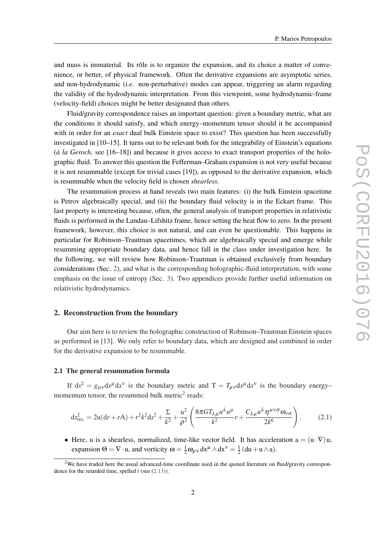<span id="page-2-0"></span>and mass is immaterial. Its rôle is to organize the expansion, and its choice a matter of convenience, or better, of physical framework. Often the derivative expansions are asymptotic series, and non-hydrodynamic (*i.e.* non-perturbative) modes can appear, triggering an alarm regarding the validity of the hydrodynamic interpretation. From this viewpoint, some hydrodynamic-frame (velocity-field) choices might be better designated than others.

Fluid/gravity correspondence raises an important question: given a boundary metric, what are the conditions it should satisfy, and which energy–momentum tensor should it be accompanied with in order for an *exact* dual bulk Einstein space to exist? This question has been successfully investigated in [10–15]. It turns out to be relevant both for the integrability of Einstein's equations (*à la Geroch*, see [16–18]) and because it gives access to exact transport properties of the holographic fluid. To answer this question the Fefferman–Graham expansion is not very useful because it is not resummable (except for trivial cases [19]), as opposed to the derivative expansion, which is resummable when the velocity field is chosen *shearless*.

The resummation process at hand reveals two main features: (i) the bulk Einstein spacetime is Petrov algebraically special, and (ii) the boundary fluid velocity is in the Eckart frame. This last property is interesting because, often, the general analysis of transport properties in relativistic fluids is performed in the Landau–Lifshitz frame, hence setting the heat flow to zero. In the present framework, however, this choice is not natural, and can even be questionable. This happens in particular for Robinson–Trautman spacetimes, which are algebraically special and emerge while resumming appropriate boundary data, and hence fall in the class under investigation here. In the following, we will review how Robinson–Trautman is obtained exclusively from boundary considerations (Sec. 2), and what is the corresponding holographic-fluid interpretation, with some emphasis on the issue of entropy (Sec. [3](#page-11-0)). Two appendices provide further useful information on relativistic hydrodynamics.

## 2. Reconstruction from the boundary

Our aim here is to review the holographic construction of Robinson–Trautman Einstein spaces as performed in [13]. We only refer to boundary data, which are designed and combined in order for the derivative expansion to be resummable.

#### 2.1 The general resummation formula

If  $ds^2 = g_{\mu\nu} dx^{\mu} dx^{\nu}$  is the boundary metric and  $T = T_{\mu\nu} dx^{\mu} dx^{\nu}$  is the boundary energy– momentum tensor, the resummed bulk metric<sup>2</sup> reads:

$$
\mathrm{d}s_{\mathrm{res.}}^2 = 2\mathrm{u}(\mathrm{d}r + r\mathrm{A}) + r^2k^2\mathrm{d}s^2 + \frac{\Sigma}{k^2} + \frac{\mathrm{u}^2}{\rho^2} \left( \frac{8\pi G T_{\lambda\mu} u^{\lambda} u^{\mu}}{k^2} r + \frac{C_{\lambda\mu} u^{\lambda} \eta^{\mu\nu\sigma} \omega_{\nu\sigma}}{2k^6} \right). \tag{2.1}
$$

• Here, u is a shearless, normalized, time-like vector field. It has acceleration  $a = (u \cdot \nabla) u$ , expansion  $\Theta = \nabla \cdot \mathbf{u}$ , and vorticity  $\omega = \frac{1}{2}$  $\frac{1}{2}\omega_{\mu\nu}dx^{\mu} \wedge dx^{\nu} = \frac{1}{2}$  $\frac{1}{2}$  (du + u  $\wedge$  a).

<sup>&</sup>lt;sup>2</sup>We have traded here the usual advanced-time coordinate used in the quoted literature on fluid/gravity correspondence for the retarded time, spelled *t* (see ([2.13\)](#page-4-0)).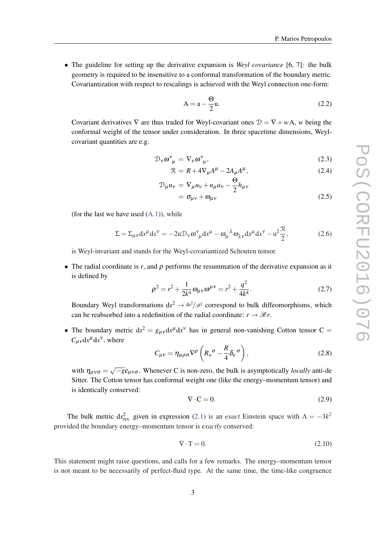<span id="page-3-0"></span>• The guideline for setting up the derivative expansion is *Weyl covariance* [6, 7]: the bulk geometry is required to be insensitive to a conformal transformation of the boundary metric. Covariantization with respect to rescalings is achieved with the Weyl connection one-form:

$$
A = a - \frac{\Theta}{2}u.
$$
 (2.2)

Covariant derivatives  $\nabla$  are thus traded for Weyl-covariant ones  $\mathcal{D} = \nabla + w\mathbf{A}$ , *w* being the conformal weight of the tensor under consideration. In three spacetime dimensions, Weylcovariant quantities are e.g.

$$
\mathcal{D}_{\nu}\omega_{\mu}^{\nu} = \nabla_{\nu}\omega_{\mu}^{\nu},\tag{2.3}
$$

$$
\mathcal{R} = R + 4\nabla_{\mu}A^{\mu} - 2A_{\mu}A^{\mu},\tag{2.4}
$$

$$
\mathcal{D}_{\mu}u_{v} = \nabla_{\mu}u_{v} + u_{\mu}a_{v} - \frac{\Theta}{2}h_{\mu v}
$$
  
=  $\sigma_{\mu v} + \omega_{\mu v}$  (2.5)

 $\overline{a}$ 

(for the last we have used  $(A.1)$  $(A.1)$ ), while

$$
\Sigma = \Sigma_{\mu\nu} dx^{\mu} dx^{\nu} = -2u \mathcal{D}_{\nu} \omega^{\nu}_{\mu} dx^{\mu} - \omega_{\mu}{}^{\lambda} \omega_{\lambda\nu} dx^{\mu} dx^{\nu} - u^2 \frac{\mathcal{R}}{2},\tag{2.6}
$$

is Weyl-invariant and stands for the Weyl-covariantized Schouten tensor.

• The radial coordinate is  $r$ , and  $\rho$  performs the resummation of the derivative expansion as it is defined by

$$
\rho^2 = r^2 + \frac{1}{2k^4} \omega_{\mu\nu} \omega^{\mu\nu} = r^2 + \frac{q^2}{4k^4}.
$$
 (2.7)

Boundary Weyl transformations  $ds^2 \to ds^2/g^2$  correspond to bulk diffeomorphisms, which can be reabsorbed into a redefinition of the radial coordinate:  $r \rightarrow \mathcal{B}r$ .

• The boundary metric  $ds^2 = g_{\mu\nu} dx^{\mu} dx^{\nu}$  has in general non-vanishing Cotton tensor C =  $C_{\mu\nu}dx^{\mu}dx^{\nu}$ , where

$$
C_{\mu\nu} = \eta_{\mu\rho\sigma} \nabla^{\rho} \left( R_{\nu}{}^{\sigma} - \frac{R}{4} \delta_{\nu}{}^{\sigma} \right), \qquad (2.8)
$$

with  $\eta_{\mu\nu\sigma} = \sqrt{-g} \varepsilon_{\mu\nu\sigma}$ . Whenever C is non-zero, the bulk is asymptotically *locally* anti-de Sitter. The Cotton tensor has conformal weight one (like the energy–momentum tensor) and is identically conserved:

$$
\nabla \cdot \mathbf{C} = 0. \tag{2.9}
$$

The bulk metric  $ds_{res.}^2$  given in expression [\(2.1\)](#page-2-0) is an *exact* Einstein space with  $\Lambda = -3k^2$ provided the boundary energy–momentum tensor is *exactly* conserved:

$$
\nabla \cdot \mathbf{T} = 0. \tag{2.10}
$$

This statement might raise questions, and calls for a few remarks. The energy–momentum tensor is not meant to be necessarily of perfect-fluid type. At the same time, the time-like congruence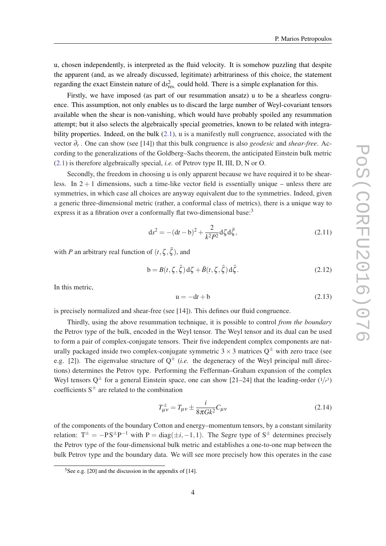<span id="page-4-0"></span>u, chosen independently, is interpreted as the fluid velocity. It is somehow puzzling that despite the apparent (and, as we already discussed, legitimate) arbitrariness of this choice, the statement regarding the exact Einstein nature of ds<sup>2</sup><sub>res.</sub> could hold. There is a simple explanation for this.

Firstly, we have imposed (as part of our resummation ansatz) u to be a shearless congruence. This assumption, not only enables us to discard the large number of Weyl-covariant tensors available when the shear is non-vanishing, which would have probably spoiled any resummation attempt; but it also selects the algebraically special geometries, known to be related with integrability properties. Indeed, on the bulk  $(2.1)$  $(2.1)$ , u is a manifestly null congruence, associated with the vector ∂*<sup>r</sup>* . One can show (see [14]) that this bulk congruence is also *geodesic* and *shear-free*. According to the generalizations of the Goldberg–Sachs theorem, the anticipated Einstein bulk metric ([2.1\)](#page-2-0) is therefore algebraically special, *i.e.* of Petrov type II, III, D, N or O.

Secondly, the freedom in choosing u is only apparent because we have required it to be shearless. In  $2 + 1$  dimensions, such a time-like vector field is essentially unique – unless there are symmetries, in which case all choices are anyway equivalent due to the symmetries. Indeed, given a generic three-dimensional metric (rather, a conformal class of metrics), there is a unique way to express it as a fibration over a conformally flat two-dimensional base:<sup>3</sup>

$$
ds^{2} = -(dt - b)^{2} + \frac{2}{k^{2}P^{2}}d\zeta d\bar{\zeta},
$$
\n(2.11)

with *P* an arbitrary real function of  $(t, \zeta, \bar{\zeta})$ , and

$$
\mathbf{b} = B(t, \zeta, \bar{\zeta}) \, \mathrm{d}\zeta + \bar{B}(t, \zeta, \bar{\zeta}) \, \mathrm{d}\bar{\zeta}.\tag{2.12}
$$

In this metric,

$$
u = -dt + b \tag{2.13}
$$

is precisely normalized and shear-free (see [14]). This defines our fluid congruence.

Thirdly, using the above resummation technique, it is possible to control *from the boundary* the Petrov type of the bulk, encoded in the Weyl tensor. The Weyl tensor and its dual can be used to form a pair of complex-conjugate tensors. Their five independent complex components are naturally packaged inside two complex-conjugate symmetric  $3 \times 3$  matrices  $Q^{\pm}$  with zero trace (see e.g. [2]). The eigenvalue structure of  $Q^{\pm}$  (*i.e.* the degeneracy of the Weyl principal null directions) determines the Petrov type. Performing the Fefferman–Graham expansion of the complex Weyl tensors  $Q^{\pm}$  for a general Einstein space, one can show [21–24] that the leading-order  $(1/r^3)$ coefficients  $S^{\pm}$  are related to the combination

$$
T_{\mu\nu}^{\pm} = T_{\mu\nu} \pm \frac{i}{8\pi G k^2} C_{\mu\nu}
$$
 (2.14)

of the components of the boundary Cotton and energy–momentum tensors, by a constant similarity relation:  $T^{\pm} = -PS^{\pm}P^{-1}$  with  $P = diag(\pm i, -1, 1)$ . The Segre type of  $S^{\pm}$  determines precisely the Petrov type of the four-dimensional bulk metric and establishes a one-to-one map between the bulk Petrov type and the boundary data. We will see more precisely how this operates in the case

 $3$ See e.g. [20] and the discussion in the appendix of [14].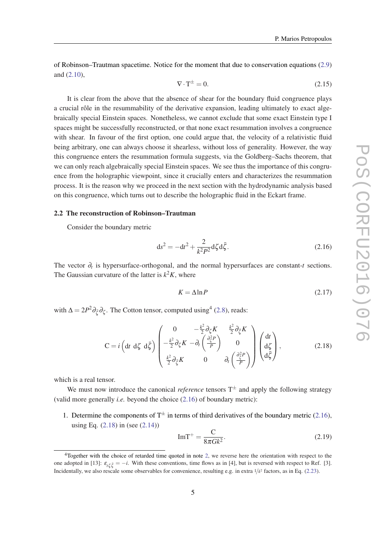<span id="page-5-0"></span>of Robinson–Trautman spacetime. Notice for the moment that due to conservation equations ([2.9](#page-3-0)) and [\(2.10\)](#page-3-0),

$$
\nabla \cdot \mathbf{T}^{\pm} = 0. \tag{2.15}
$$

It is clear from the above that the absence of shear for the boundary fluid congruence plays a crucial rôle in the resummability of the derivative expansion, leading ultimately to exact algebraically special Einstein spaces. Nonetheless, we cannot exclude that some exact Einstein type I spaces might be successfully reconstructed, or that none exact resummation involves a congruence with shear. In favour of the first option, one could argue that, the velocity of a relativistic fluid being arbitrary, one can always choose it shearless, without loss of generality. However, the way this congruence enters the resummation formula suggests, via the Goldberg–Sachs theorem, that we can only reach algebraically special Einstein spaces. We see thus the importance of this congruence from the holographic viewpoint, since it crucially enters and characterizes the resummation process. It is the reason why we proceed in the next section with the hydrodynamic analysis based on this congruence, which turns out to describe the holographic fluid in the Eckart frame.

#### 2.2 The reconstruction of Robinson–Trautman

Consider the boundary metric

$$
ds^{2} = -dt^{2} + \frac{2}{k^{2}P^{2}}d\zeta d\bar{\zeta}.
$$
 (2.16)

The vector ∂*<sup>t</sup>* is hypersurface-orthogonal, and the normal hypersurfaces are constant-*t* sections. The Gaussian curvature of the latter is  $k^2 K$ , where

$$
K = \Delta \ln P \tag{2.17}
$$

with  $\Delta = 2P^2 \partial_{\xi} \partial_{\zeta}$ . The Cotton tensor, computed using<sup>4</sup> ([2.8\)](#page-3-0), reads:

$$
C = i \left( dt \ d\zeta \ d\bar{\zeta} \right) \begin{pmatrix} 0 & -\frac{k^2}{2} \partial_{\zeta} K & \frac{k^2}{2} \partial_{\bar{\zeta}} K \\ -\frac{k^2}{2} \partial_{\zeta} K & -\partial_t \left( \frac{\partial_{\zeta}^2 P}{P} \right) & 0 \\ \frac{k^2}{2} \partial_{\bar{\zeta}} K & 0 & \partial_t \left( \frac{\partial_{\bar{\zeta}}^2 P}{P} \right) \end{pmatrix} \begin{pmatrix} dt \\ d\zeta \\ d\bar{\zeta} \end{pmatrix},\tag{2.18}
$$

which is a real tensor.

We must now introduce the canonical *reference* tensors  $T^{\pm}$  and apply the following strategy (valid more generally *i.e.* beyond the choice (2.16) of boundary metric):

1. Determine the components of  $T^{\pm}$  in terms of third derivatives of the boundary metric (2.16), using Eq. (2.18) in (see [\(2.14](#page-4-0)))

$$
\text{Im}\mathbf{T}^+ = \frac{\mathbf{C}}{8\pi G k^2}.\tag{2.19}
$$

<sup>&</sup>lt;sup>4</sup>Together with the choice of retarded time quoted in note [2,](#page-2-0) we reverse here the orientation with respect to the one adopted in [13]:  $\varepsilon_{t\zeta\bar{\zeta}} = -i$ . With these conventions, time flows as in [4], but is reversed with respect to Ref. [3]. Incidentally, we also rescale some observables for convenience, resulting e.g. in extra 1/*k* 2 factors, as in Eq. ([2.23](#page-7-0)).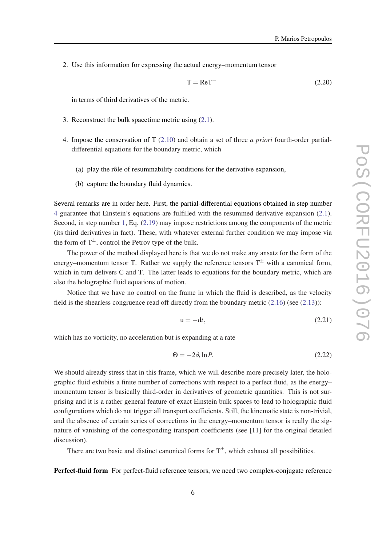<span id="page-6-0"></span>2. Use this information for expressing the actual energy–momentum tensor

$$
T = ReT^{+}
$$
 (2.20)

in terms of third derivatives of the metric.

- 3. Reconstruct the bulk spacetime metric using [\(2.1\)](#page-2-0).
- 4. Impose the conservation of T [\(2.10](#page-3-0)) and obtain a set of three *a priori* fourth-order partialdifferential equations for the boundary metric, which
	- (a) play the rôle of resummability conditions for the derivative expansion,
	- (b) capture the boundary fluid dynamics.

Several remarks are in order here. First, the partial-differential equations obtained in step number 4 guarantee that Einstein's equations are fulfilled with the resummed derivative expansion ([2.1\)](#page-2-0). Second, in step number [1,](#page-5-0) Eq.  $(2.19)$  $(2.19)$  may impose restrictions among the components of the metric (its third derivatives in fact). These, with whatever external further condition we may impose via the form of  $T^{\pm}$ , control the Petrov type of the bulk.

The power of the method displayed here is that we do not make any ansatz for the form of the energy–momentum tensor T. Rather we supply the reference tensors  $T^{\pm}$  with a canonical form, which in turn delivers C and T. The latter leads to equations for the boundary metric, which are also the holographic fluid equations of motion.

Notice that we have no control on the frame in which the fluid is described, as the velocity field is the shearless congruence read off directly from the boundary metric ([2.16\)](#page-5-0) (see ([2.13\)](#page-4-0)):

$$
u = -dt,\t\t(2.21)
$$

which has no vorticity, no acceleration but is expanding at a rate

$$
\Theta = -2\partial_t \ln P. \tag{2.22}
$$

We should already stress that in this frame, which we will describe more precisely later, the holographic fluid exhibits a finite number of corrections with respect to a perfect fluid, as the energy– momentum tensor is basically third-order in derivatives of geometric quantities. This is not surprising and it is a rather general feature of exact Einstein bulk spaces to lead to holographic fluid configurations which do not trigger all transport coefficients. Still, the kinematic state is non-trivial, and the absence of certain series of corrections in the energy–momentum tensor is really the signature of vanishing of the corresponding transport coefficients (see [11] for the original detailed discussion).

There are two basic and distinct canonical forms for  $T^{\pm}$ , which exhaust all possibilities.

Perfect-fluid form For perfect-fluid reference tensors, we need two complex-conjugate reference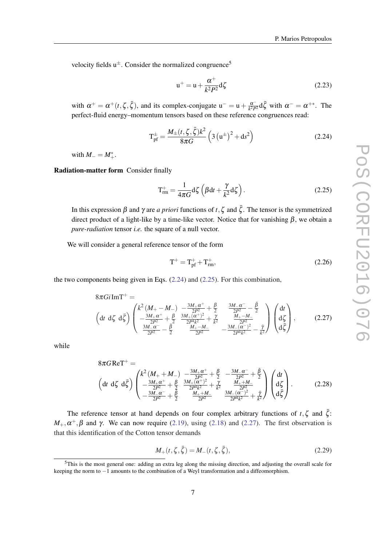<span id="page-7-0"></span>velocity fields  $u^{\pm}$ . Consider the normalized congruence<sup>5</sup>

$$
u^{+} = u + \frac{\alpha^{+}}{k^{2}P^{2}}d\zeta
$$
\n(2.23)

with  $\alpha^+ = \alpha^+(t, \zeta, \bar{\zeta})$ , and its complex-conjugate  $u^- = u + \frac{\alpha^-}{k^2 p}$  $\frac{\alpha^{-}}{k^2 P^2} d\bar{\zeta}$  with  $\alpha^{-} = \alpha^{+*}$ . The perfect-fluid energy–momentum tensors based on these reference congruences read:

$$
T_{pf}^{\pm} = \frac{M_{\pm}(t,\zeta,\bar{\zeta})k^2}{8\pi G} \left(3\left(u^{\pm}\right)^2 + ds^2\right)
$$
 (2.24)

with  $M = M^*_{+}$ .

Radiation-matter form Consider finally

$$
T_{rm}^{+} = \frac{1}{4\pi G} d\zeta \left( \beta dt + \frac{\gamma}{k^2} d\zeta \right).
$$
 (2.25)

In this expression β and γ are *a priori* functions of *t*, ζ and  $\bar{\zeta}$ . The tensor is the symmetrized direct product of a light-like by a time-like vector. Notice that for vanishing  $\beta$ , we obtain a *pure-radiation* tensor *i.e.* the square of a null vector.

We will consider a general reference tensor of the form

$$
T^{+} = T_{pf}^{+} + T_{rm}^{+}, \tag{2.26}
$$

the two components being given in Eqs. (2.24) and (2.25). For this combination,

$$
8\pi G i \operatorname{Im} T^{+} =
$$
\n
$$
\left(\operatorname{d} t \, \operatorname{d} \zeta \, \operatorname{d} \bar{\zeta}\right) \begin{pmatrix} k^{2} \left(M_{+} - M_{-}\right) & -\frac{3M_{+} \alpha^{+}}{2P^{2}} + \frac{\beta}{2} & \frac{3M_{-} \alpha^{-}}{2P^{2}} - \frac{\bar{\beta}}{2} \\ -\frac{3M_{+} \alpha^{+}}{2P^{2}} + \frac{\beta}{2} & \frac{3M_{+} (\alpha^{+})^{2}}{2P^{4} k^{2}} + \frac{\gamma}{k^{2}} & \frac{M_{+} - M_{-}}{2P^{2}} \\ \frac{3M_{-} \alpha^{-}}{2P^{2}} - \frac{\beta}{2} & \frac{M_{+} - M_{-}}{2P^{2}} & -\frac{3M_{-} (\alpha^{-})^{2}}{2P^{4} k^{2}} - \frac{\gamma}{k^{2}} \end{pmatrix} \begin{pmatrix} \operatorname{d} t \\ \operatorname{d} \zeta \\ \operatorname{d} \bar{\zeta} \end{pmatrix}, \tag{2.27}
$$

while

$$
8\pi G \text{ReT}^{+} =
$$
\n
$$
\left(\text{d}t \text{ d}\zeta \text{ d}\bar{\zeta}\right) \begin{pmatrix} k^{2} \left(M_{+} + M_{-}\right) & -\frac{3M_{+}\alpha^{+}}{2P^{2}} + \frac{\beta}{2} & -\frac{3M_{-}\alpha^{-}}{2P^{2}} + \frac{\bar{\beta}}{2} \\ -\frac{3M_{+}\alpha^{+}}{2P^{2}} + \frac{\beta}{2} & \frac{3M_{+}(\alpha^{+})^{2}}{2P^{4}k^{2}} + \frac{\gamma}{k^{2}} & \frac{M_{+} + M_{-}}{2P^{2}} \\ -\frac{3M_{-}\alpha^{-}}{2P^{2}} + \frac{\bar{\beta}}{2} & \frac{M_{+} + M_{-}}{2P^{2}} & \frac{3M_{-}(\alpha^{-})^{2}}{2P^{4}k^{2}} + \frac{\bar{\gamma}}{k^{2}} \end{pmatrix} \begin{pmatrix} \text{d}t \\ \text{d}\zeta \\ \text{d}\bar{\zeta} \end{pmatrix}.
$$
\n(2.28)

The reference tensor at hand depends on four complex arbitrary functions of  $t, \zeta$  and  $\bar{\zeta}$ :  $M_+$ ,  $\alpha^+$ ,  $\beta$  and  $\gamma$ . We can now require ([2.19\)](#page-5-0), using [\(2.18](#page-5-0)) and (2.27). The first observation is that this identification of the Cotton tensor demands

$$
M_{+}(t,\zeta,\bar{\zeta}) = M_{-}(t,\zeta,\bar{\zeta}),
$$
\n(2.29)

<sup>5</sup>This is the most general one: adding an extra leg along the missing direction, and adjusting the overall scale for keeping the norm to −1 amounts to the combination of a Weyl transformation and a diffeomorphism.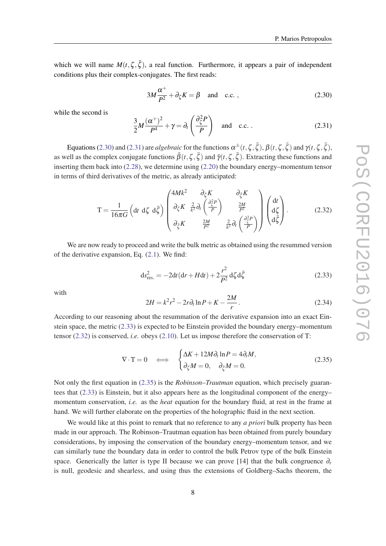<span id="page-8-0"></span>which we will name  $M(t, \zeta, \bar{\zeta})$ , a real function. Furthermore, it appears a pair of independent conditions plus their complex-conjugates. The first reads:

$$
3M\frac{\alpha^+}{P^2} + \partial_{\zeta}K = \beta \quad \text{and} \quad \text{c.c.} \,, \tag{2.30}
$$

while the second is

$$
\frac{3}{2}M\frac{(\alpha^{+})^{2}}{P^{4}} + \gamma = \partial_{t}\left(\frac{\partial_{\zeta}^{2}P}{P}\right) \quad \text{and} \quad \text{c.c.} \tag{2.31}
$$

Equations (2.30) and (2.31) are *algebraic* for the functions  $\alpha^{\pm}(t,\zeta,\bar{\zeta}), \beta(t,\zeta,\bar{\zeta})$  and  $\gamma(t,\zeta,\bar{\zeta}),$ as well as the complex conjugate functions  $\bar{\beta}(t,\zeta,\bar{\zeta})$  and  $\bar{\gamma}(t,\zeta,\bar{\zeta})$ . Extracting these functions and inserting them back into [\(2.28\)](#page-7-0), we determine using [\(2.20\)](#page-6-0) the boundary energy–momentum tensor in terms of third derivatives of the metric, as already anticipated:

$$
T = \frac{1}{16\pi G} \left( dt \ d\zeta \ d\bar{\zeta} \right) \begin{pmatrix} 4Mk^2 & \partial_{\zeta} K & \partial_{\bar{\zeta}} K \\ \partial_{\zeta} K & \frac{2}{k^2} \partial_t \left( \frac{\partial_{\zeta}^2 P}{P} \right) & \frac{2M}{P^2} \\ \partial_{\bar{\zeta}} K & \frac{2M}{P^2} & \frac{2}{k^2} \partial_t \left( \frac{\partial_{\zeta}^2 P}{P} \right) \end{pmatrix} \begin{pmatrix} dt \\ d\zeta \\ d\bar{\zeta} \end{pmatrix} .
$$
 (2.32)

We are now ready to proceed and write the bulk metric as obtained using the resummed version of the derivative expansion, Eq. ([2.1\)](#page-2-0). We find:

$$
ds_{res.}^{2} = -2dt(dt + Hdt) + 2\frac{r^{2}}{P^{2}}d\zeta d\bar{\zeta}
$$
 (2.33)

with

$$
2H = k^2 r^2 - 2r \partial_t \ln P + K - \frac{2M}{r}.
$$
 (2.34)

According to our reasoning about the resummation of the derivative expansion into an exact Einstein space, the metric (2.33) is expected to be Einstein provided the boundary energy–momentum tensor (2.32) is conserved, *i.e.* obeys ([2.10\)](#page-3-0). Let us impose therefore the conservation of T:

$$
\nabla \cdot \mathbf{T} = 0 \quad \Longleftrightarrow \quad \begin{cases} \Delta K + 12M \partial_t \ln P = 4 \partial_t M, \\ \partial_\zeta M = 0, \quad \partial_{\bar{\zeta}} M = 0. \end{cases} \tag{2.35}
$$

Not only the first equation in (2.35) is the *Robinson–Trautman* equation, which precisely guarantees that (2.33) is Einstein, but it also appears here as the longitudinal component of the energy– momentum conservation, *i.e.* as the *heat* equation for the boundary fluid, at rest in the frame at hand. We will further elaborate on the properties of the holographic fluid in the next section.

We would like at this point to remark that no reference to any *a priori* bulk property has been made in our approach. The Robinson–Trautman equation has been obtained from purely boundary considerations, by imposing the conservation of the boundary energy–momentum tensor, and we can similarly tune the boundary data in order to control the bulk Petrov type of the bulk Einstein space. Generically the latter is type II because we can prove [14] that the bulk congruence  $\partial_r$ is null, geodesic and shearless, and using thus the extensions of Goldberg–Sachs theorem, the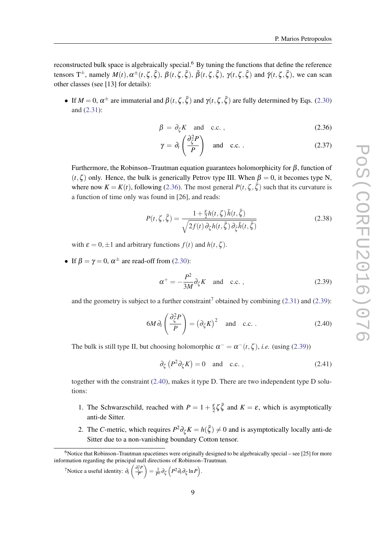<span id="page-9-0"></span>reconstructed bulk space is algebraically special.<sup>6</sup> By tuning the functions that define the reference tensors  $T^{\pm}$ , namely  $M(t), \alpha^{\pm}(t, \zeta, \bar{\zeta}), \beta(t, \zeta, \bar{\zeta}), \bar{\beta}(t, \zeta, \bar{\zeta}), \gamma(t, \zeta, \bar{\zeta})$  and  $\bar{\gamma}(t, \zeta, \bar{\zeta})$ , we can scan other classes (see [13] for details):

• If  $M = 0$ ,  $\alpha^{\pm}$  are immaterial and  $\beta(t, \zeta, \bar{\zeta})$  and  $\gamma(t, \zeta, \bar{\zeta})$  are fully determined by Eqs. [\(2.30](#page-8-0)) and ([2.31\)](#page-8-0):

$$
\beta = \partial_{\zeta} K \quad \text{and} \quad \text{c.c.} \,, \tag{2.36}
$$

$$
\gamma = \partial_t \left( \frac{\partial_{\zeta}^2 P}{P} \right) \quad \text{and} \quad \text{c.c.} \,. \tag{2.37}
$$

Furthermore, the Robinson–Trautman equation guarantees holomorphicity for  $\beta$ , function of  $(t,\zeta)$  only. Hence, the bulk is generically Petrov type III. When  $\beta = 0$ , it becomes type N, where now  $K = K(t)$ , following (2.36). The most general  $P(t, \zeta, \bar{\zeta})$  such that its curvature is a function of time only was found in [26], and reads:

$$
P(t,\zeta,\bar{\zeta}) = \frac{1 + \frac{\varepsilon}{2}h(t,\zeta)\bar{h}(t,\bar{\zeta})}{\sqrt{2f(t)\partial_{\zeta}h(t,\bar{\zeta})\partial_{\bar{\zeta}}\bar{h}(t,\bar{\zeta})}}
$$
(2.38)

with  $\varepsilon = 0, \pm 1$  and arbitrary functions  $f(t)$  and  $h(t, \zeta)$ .

• If  $\beta = \gamma = 0$ ,  $\alpha^{\pm}$  are read-off from [\(2.30](#page-8-0)):

$$
\alpha^+ = -\frac{P^2}{3M} \partial_{\zeta} K \quad \text{and} \quad \text{c.c.} \,, \tag{2.39}
$$

and the geometry is subject to a further constraint<sup>7</sup> obtained by combining  $(2.31)$  $(2.31)$  $(2.31)$  and  $(2.39)$ :

$$
6M\partial_t \left(\frac{\partial_\zeta^2 P}{P}\right) = \left(\partial_\zeta K\right)^2 \quad \text{and} \quad \text{c.c.} \,. \tag{2.40}
$$

The bulk is still type II, but choosing holomorphic  $\alpha^- = \alpha^-(t, \zeta)$ , *i.e.* (using (2.39))

$$
\partial_{\zeta} \left( P^2 \partial_{\zeta} K \right) = 0 \quad \text{and} \quad \text{c.c.} \,, \tag{2.41}
$$

together with the constraint (2.40), makes it type D. There are two independent type D solutions:

- 1. The Schwarzschild, reached with  $P = 1 + \frac{\varepsilon}{2} \zeta \overline{\zeta}$  and  $K = \varepsilon$ , which is asymptotically anti-de Sitter.
- 2. The *C*-metric, which requires  $P^2 \partial_{\zeta} K = h(\bar{\zeta}) \neq 0$  and is asymptotically locally anti-de Sitter due to a non-vanishing boundary Cotton tensor.

 $6$ Notice that Robinson–Trautman spacetimes were originally designed to be algebraically special – see [25] for more information regarding the principal null directions of Robinson–Trautman.

<sup>&</sup>lt;sup>7</sup>Notice a useful identity:  $\partial_t \left( \frac{\partial_{\zeta}^2 P}{P} \right)$ *P*  $\bigg) = \frac{1}{P^2} \partial_{\zeta} \left( P^2 \partial_t \partial_{\zeta} \ln P \right).$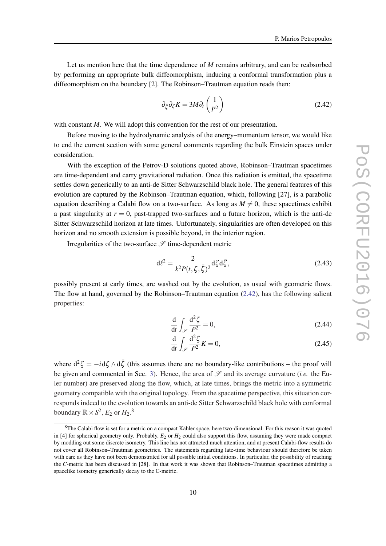<span id="page-10-0"></span>Let us mention here that the time dependence of *M* remains arbitrary, and can be reabsorbed by performing an appropriate bulk diffeomorphism, inducing a conformal transformation plus a diffeomorphism on the boundary [2]. The Robinson–Trautman equation reads then:

$$
\partial_{\bar{\zeta}} \partial_{\zeta} K = 3M \partial_t \left( \frac{1}{P^2} \right) \tag{2.42}
$$

with constant *M*. We will adopt this convention for the rest of our presentation.

Before moving to the hydrodynamic analysis of the energy–momentum tensor, we would like to end the current section with some general comments regarding the bulk Einstein spaces under consideration.

With the exception of the Petrov-D solutions quoted above, Robinson–Trautman spacetimes are time-dependent and carry gravitational radiation. Once this radiation is emitted, the spacetime settles down generically to an anti-de Sitter Schwarzschild black hole. The general features of this evolution are captured by the Robinson–Trautman equation, which, following [27], is a parabolic equation describing a Calabi flow on a two-surface. As long as  $M \neq 0$ , these spacetimes exhibit a past singularity at  $r = 0$ , past-trapped two-surfaces and a future horizon, which is the anti-de Sitter Schwarzschild horizon at late times. Unfortunately, singularities are often developed on this horizon and no smooth extension is possible beyond, in the interior region.

Irregularities of the two-surface  $\mathscr S$  time-dependent metric

$$
d\ell^2 = \frac{2}{k^2 P(t,\zeta,\bar{\zeta})^2} d\zeta d\bar{\zeta},\qquad(2.43)
$$

possibly present at early times, are washed out by the evolution, as usual with geometric flows. The flow at hand, governed by the Robinson–Trautman equation (2.42), has the following salient properties:

$$
\frac{\mathrm{d}}{\mathrm{d}t} \int_{\mathscr{S}} \frac{\mathrm{d}^2 \zeta}{P^2} = 0,\tag{2.44}
$$

$$
\frac{\mathrm{d}}{\mathrm{d}t} \int_{\mathscr{S}} \frac{\mathrm{d}^2 \zeta}{P^2} K = 0,\tag{2.45}
$$

where  $d^2 \zeta = -i d \zeta \wedge d \bar{\zeta}$  (this assumes there are no boundary-like contributions – the proof will be given and commented in Sec. [3](#page-11-0)). Hence, the area of  $\mathscr S$  and its average curvature *(i.e.* the Euler number) are preserved along the flow, which, at late times, brings the metric into a symmetric geometry compatible with the original topology. From the spacetime perspective, this situation corresponds indeed to the evolution towards an anti-de Sitter Schwarzschild black hole with conformal boundary  $\mathbb{R} \times S^2$ ,  $E_2$  or  $H_2$ .<sup>8</sup>

<sup>8</sup>The Calabi flow is set for a metric on a compact Kähler space, here two-dimensional. For this reason it was quoted in [4] for spherical geometry only. Probably, *E*<sup>2</sup> or *H*<sup>2</sup> could also support this flow, assuming they were made compact by modding out some discrete isometry. This line has not attracted much attention, and at present Calabi-flow results do not cover all Robinson–Trautman geometries. The statements regarding late-time behaviour should therefore be taken with care as they have not been demonstrated for all possible initial conditions. In particular, the possibility of reaching the *C*-metric has been discussed in [28]. In that work it was shown that Robinson–Trautman spacetimes admitting a spacelike isometry generically decay to the C-metric.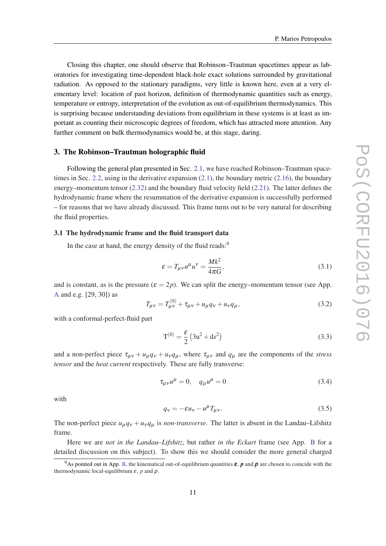<span id="page-11-0"></span>Closing this chapter, one should observe that Robinson–Trautman spacetimes appear as laboratories for investigating time-dependent black-hole exact solutions surrounded by gravitational radiation. As opposed to the stationary paradigms, very little is known here, even at a very elementary level: location of past horizon, definition of thermodynamic quantities such as energy, temperature or entropy, interpretation of the evolution as out-of-equilibrium thermodynamics. This is surprising because understanding deviations from equilibrium in these systems is at least as important as counting their microscopic degrees of freedom, which has attracted more attention. Any further comment on bulk thermodynamics would be, at this stage, daring.

#### 3. The Robinson–Trautman holographic fluid

Following the general plan presented in Sec. [2.1,](#page-2-0) we have reached Robinson–Trautman space-times in Sec. [2.2](#page-5-0), using in the derivative expansion  $(2.1)$ , the boundary metric  $(2.16)$  $(2.16)$ , the boundary energy–momentum tensor [\(2.32](#page-8-0)) and the boundary fluid velocity field ([2.21](#page-6-0)). The latter defines the hydrodynamic frame where the resummation of the derivative expansion is successfully performed – for reasons that we have already discussed. This frame turns out to be very natural for describing the fluid properties.

## 3.1 The hydrodynamic frame and the fluid transport data

In the case at hand, the energy density of the fluid reads:<sup>9</sup>

$$
\varepsilon = T_{\mu\nu} u^{\mu} u^{\nu} = \frac{Mk^2}{4\pi G},\tag{3.1}
$$

and is constant, as is the pressure  $(\varepsilon = 2p)$ . We can split the energy–momentum tensor (see App. [A](#page-21-0) and e.g. [29, 30]) as

$$
T_{\mu\nu} = T_{\mu\nu}^{(0)} + \tau_{\mu\nu} + u_{\mu}q_{\nu} + u_{\nu}q_{\mu},
$$
\n(3.2)

with a conformal-perfect-fluid part

$$
T^{(0)} = \frac{\varepsilon}{2} (3u^2 + ds^2)
$$
 (3.3)

and a non-perfect piece  $\tau_{\mu\nu} + u_{\mu}q_{\nu} + u_{\nu}q_{\mu}$ , where  $\tau_{\mu\nu}$  and  $q_{\mu}$  are the components of the *stress tensor* and the *heat current* respectively. These are fully transverse:

$$
\tau_{\mu\nu}u^{\mu} = 0, \quad q_{\mu}u^{\mu} = 0 \tag{3.4}
$$

with

$$
q_{v} = -\varepsilon u_{v} - u^{\mu} T_{\mu v}.
$$
\n(3.5)

The non-perfect piece  $u_{\mu}q_{\nu}+u_{\nu}q_{\mu}$  is *non-transverse*. The latter is absent in the Landau–Lifshitz frame.

Here we are *not in the Landau–Lifshitz*, but rather *in the Eckart* frame (see App. [B](#page-23-0) for a detailed discussion on this subject). To show this we should consider the more general charged

<sup>&</sup>lt;sup>9</sup>As pointed out in App. [B](#page-23-0), the kinematical out-of-equilibrium quantities  $\varepsilon$ ,  $p$  and  $\rho$  are chosen to coincide with the thermodynamic local-equilibrium  $\varepsilon$ , *p* and  $\rho$ .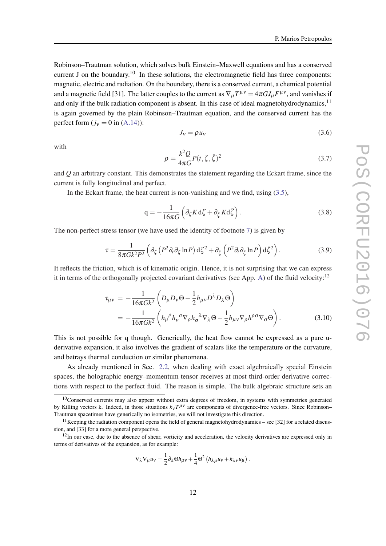<span id="page-12-0"></span>Robinson–Trautman solution, which solves bulk Einstein–Maxwell equations and has a conserved current J on the boundary.<sup>10</sup> In these solutions, the electromagnetic field has three components: magnetic, electric and radiation. On the boundary, there is a conserved current, a chemical potential and a magnetic field [31]. The latter couples to the current as  $\nabla_{\mu}T^{\mu\nu} = 4\pi G J_{\mu}F^{\mu\nu}$ , and vanishes if and only if the bulk radiation component is absent. In this case of ideal magnetohydrodynamics,  $11$ is again governed by the plain Robinson–Trautman equation, and the conserved current has the perfect form  $(j_v = 0$  in  $(A.14)$ :

$$
J_V = \rho u_V \tag{3.6}
$$

with

$$
\rho = \frac{k^2 Q}{4\pi G} P(t, \zeta, \bar{\zeta})^2 \tag{3.7}
$$

and *Q* an arbitrary constant. This demonstrates the statement regarding the Eckart frame, since the current is fully longitudinal and perfect.

In the Eckart frame, the heat current is non-vanishing and we find, using  $(3.5)$  $(3.5)$ ,

$$
q = -\frac{1}{16\pi G} \left( \partial_{\zeta} K d\zeta + \partial_{\bar{\zeta}} K d\bar{\zeta} \right). \tag{3.8}
$$

The non-perfect stress tensor (we have used the identity of footnote [7\)](#page-9-0) is given by

$$
\tau = \frac{1}{8\pi G k^2 P^2} \left( \partial_{\zeta} \left( P^2 \partial_t \partial_{\zeta} \ln P \right) d\zeta^2 + \partial_{\bar{\zeta}} \left( P^2 \partial_t \partial_{\bar{\zeta}} \ln P \right) d\bar{\zeta}^2 \right). \tag{3.9}
$$

It reflects the friction, which is of kinematic origin. Hence, it is not surprising that we can express it in terms of the orthogonally projected covariant derivatives (see App. [A\)](#page-21-0) of the fluid velocity:<sup>12</sup>

$$
\tau_{\mu\nu} = -\frac{1}{16\pi G k^2} \left( D_{\mu} D_{\nu} \Theta - \frac{1}{2} h_{\mu\nu} D^{\lambda} D_{\lambda} \Theta \right)
$$
  
= 
$$
-\frac{1}{16\pi G k^2} \left( h_{\mu}{}^{\rho} h_{\nu}{}^{\sigma} \nabla_{\rho} h_{\sigma}{}^{\lambda} \nabla_{\lambda} \Theta - \frac{1}{2} h_{\mu\nu} \nabla_{\rho} h^{\rho}{}^{\sigma} \nabla_{\sigma} \Theta \right).
$$
(3.10)

This is not possible for q though. Generically, the heat flow cannot be expressed as a pure uderivative expansion, it also involves the gradient of scalars like the temperature or the curvature, and betrays thermal conduction or similar phenomena.

As already mentioned in Sec. [2.2](#page-5-0), when dealing with exact algebraically special Einstein spaces, the holographic energy–momentum tensor receives at most third-order derivative corrections with respect to the perfect fluid. The reason is simple. The bulk algebraic structure sets an

$$
\nabla_{\lambda} \nabla_{\mu} u_{v} = \frac{1}{2} \partial_{\lambda} \Theta h_{\mu v} + \frac{1}{4} \Theta^{2} \left( h_{\lambda \mu} u_{v} + h_{\lambda v} u_{\mu} \right).
$$

<sup>&</sup>lt;sup>10</sup>Conserved currents may also appear without extra degrees of freedom, in systems with symmetries generated by Killing vectors k. Indeed, in those situations  $k<sub>v</sub>T<sup>\mu v</sup>$  are components of divergence-free vectors. Since Robinson– Trautman spacetimes have generically no isometries, we will not investigate this direction.

<sup>&</sup>lt;sup>11</sup> Keeping the radiation component opens the field of general magnetohydrodynamics – see [32] for a related discussion, and [33] for a more general perspective.

<sup>&</sup>lt;sup>12</sup>In our case, due to the absence of shear, vorticity and acceleration, the velocity derivatives are expressed only in terms of derivatives of the expansion, as for example: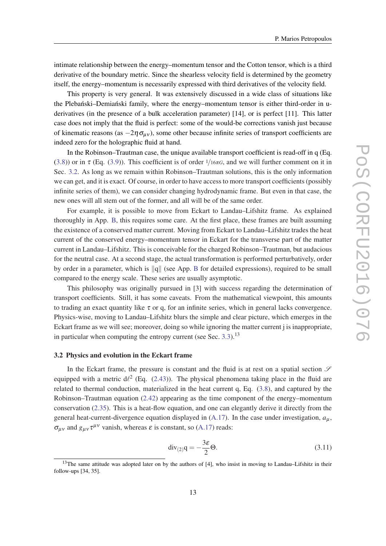<span id="page-13-0"></span>intimate relationship between the energy–momentum tensor and the Cotton tensor, which is a third derivative of the boundary metric. Since the shearless velocity field is determined by the geometry itself, the energy–momentum is necessarily expressed with third derivatives of the velocity field.

This property is very general. It was extensively discussed in a wide class of situations like the Plebanski–Demianski family, where the energy–momentum tensor is either third-order in uderivatives (in the presence of a bulk acceleration parameter) [14], or is perfect [11]. This latter case does not imply that the fluid is perfect: some of the would-be corrections vanish just because of kinematic reasons (as  $-2\eta \sigma_{\mu\nu}$ ), some other because infinite series of transport coefficients are indeed zero for the holographic fluid at hand.

In the Robinson–Trautman case, the unique available transport coefficient is read-off in q (Eq. ([3.8\)](#page-12-0)) or in  $\tau$  (Eq. ([3.9](#page-12-0))). This coefficient is of order  $1/16\pi G$ , and we will further comment on it in Sec. 3.2. As long as we remain within Robinson–Trautman solutions, this is the only information we can get, and it is exact. Of course, in order to have access to more transport coefficients (possibly infinite series of them), we can consider changing hydrodynamic frame. But even in that case, the new ones will all stem out of the former, and all will be of the same order.

For example, it is possible to move from Eckart to Landau–Lifshitz frame. As explained thoroughly in App. [B](#page-23-0), this requires some care. At the first place, these frames are built assuming the existence of a conserved matter current. Moving from Eckart to Landau–Lifshitz trades the heat current of the conserved energy–momentum tensor in Eckart for the transverse part of the matter current in Landau–Lifshitz. This is conceivable for the charged Robinson–Trautman, but audacious for the neutral case. At a second stage, the actual transformation is performed perturbatively, order by order in a parameter, which is  $\|q\|$  (see App. [B](#page-23-0) for detailed expressions), required to be small compared to the energy scale. These series are usually asymptotic.

This philosophy was originally pursued in [3] with success regarding the determination of transport coefficients. Still, it has some caveats. From the mathematical viewpoint, this amounts to trading an exact quantity like  $\tau$  or q, for an infinite series, which in general lacks convergence. Physics-wise, moving to Landau–Lifshitz blurs the simple and clear picture, which emerges in the Eckart frame as we will see; moreover, doing so while ignoring the matter current j is inappropriate, in particular when computing the entropy current (see Sec. [3.3\)](#page-16-0).<sup>13</sup>

### 3.2 Physics and evolution in the Eckart frame

In the Eckart frame, the pressure is constant and the fluid is at rest on a spatial section  $\mathscr S$ equipped with a metric  $d\ell^2$  (Eq. [\(2.43](#page-10-0))). The physical phenomena taking place in the fluid are related to thermal conduction, materialized in the heat current q, Eq. ([3.8](#page-12-0)), and captured by the Robinson–Trautman equation ([2.42\)](#page-10-0) appearing as the time component of the energy–momentum conservation [\(2.35](#page-8-0)). This is a heat-flow equation, and one can elegantly derive it directly from the general heat-current-divergence equation displayed in  $(A.17)$  $(A.17)$  $(A.17)$ . In the case under investigation,  $a<sub>u</sub>$ ,  $\sigma_{\mu\nu}$  and  $g_{\mu\nu} \tau^{\mu\nu}$  vanish, whereas  $\varepsilon$  is constant, so ([A.17](#page-22-0)) reads:

$$
\operatorname{div}_{(2)} q = -\frac{3\varepsilon}{2} \Theta. \tag{3.11}
$$

<sup>&</sup>lt;sup>13</sup>The same attitude was adopted later on by the authors of [4], who insist in moving to Landau–Lifshitz in their follow-ups [34, 35].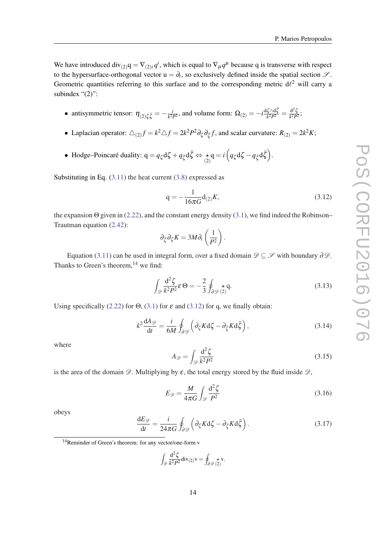<span id="page-14-0"></span>We have introduced div<sub>(2)</sub> $q = \nabla_{(2)i} q^i$ , which is equal to  $\nabla_{\mu} q^{\mu}$  because q is transverse with respect to the hypersurface-orthogonal vector  $u = \partial_t$ , so exclusively defined inside the spatial section  $\mathscr{S}$ . Geometric quantities referring to this surface and to the corresponding metric  $d\ell^2$  will carry a subindex "(2)":

- antisymmetric tensor:  $\eta_{(2)\zeta\bar{\zeta}} = -\frac{i}{k^2i}$  $\frac{i}{k^2 P^2}$ , and volume form: Ω<sub>(2)</sub> = −*i*<sup>dζ∧dζ</sup>  $\frac{\delta \zeta \wedge \mathrm{d}\bar{\zeta}}{k^2 P^2} = \frac{\mathrm{d}^2 \zeta}{k^2 P}$  $\frac{a}{k^2 P^2}$ ;
- $\bullet$  Laplacian operator:  $\triangle_{(2)} f = k^2 \triangle f = 2k^2 P^2 \partial_{\zeta} \partial_{\bar{\zeta}} f$ , and scalar curvature:  $R_{(2)} = 2k^2 K$ ;
- Hodge–Poincaré duality:  $q = q_{\zeta} d \zeta + q_{\bar{\zeta}} d \bar{\zeta} \Leftrightarrow \underset{(2)}{\star} q = i \left( q_{\zeta} d \zeta q_{\bar{\zeta}} d \bar{\zeta} \right)$ .

Substituting in Eq.  $(3.11)$  $(3.11)$  the heat current  $(3.8)$  $(3.8)$  $(3.8)$  expressed as

$$
q = -\frac{1}{16\pi G}d_{(2)}K,
$$
\n(3.12)

the expansion  $\Theta$  given in [\(2.22](#page-6-0)), and the constant energy density [\(3.1\)](#page-11-0), we find indeed the Robinson– Trautman equation [\(2.42](#page-10-0)):

$$
\partial_{\bar{\zeta}}\partial_{\zeta}K=3M\partial_t\left(\frac{1}{P^2}\right).
$$

Equation [\(3.11](#page-13-0)) can be used in integral form, over a fixed domain  $\mathscr{D} \subseteq \mathscr{S}$  with boundary  $\partial \mathscr{D}$ . Thanks to Green's theorem, $^{14}$  we find:

$$
\int_{\mathcal{D}} \frac{\mathrm{d}^2 \zeta}{k^2 P^2} \mathcal{E} \Theta = -\frac{2}{3} \oint_{\partial \mathcal{D}} \underset{(2)}{\star} \mathsf{q}.
$$
\n(3.13)

Using specifically [\(2.22](#page-6-0)) for  $\Theta$ , [\(3.1\)](#page-11-0) for  $\varepsilon$  and (3.12) for q, we finally obtain:

$$
k^2 \frac{dA_{\mathcal{D}}}{dt} = \frac{i}{6M} \oint_{\partial \mathcal{D}} \left( \partial_{\zeta} K d\zeta - \partial_{\bar{\zeta}} K d\bar{\zeta} \right),\tag{3.14}
$$

where

$$
A_{\mathcal{D}} = \int_{\mathcal{D}} \frac{\mathrm{d}^2 \zeta}{k^2 P^2} \tag{3.15}
$$

is the area of the domain  $\mathscr{D}$ . Multiplying by  $\varepsilon$ , the total energy stored by the fluid inside  $\mathscr{D}$ ,

$$
E_{\mathscr{D}} = \frac{M}{4\pi G} \int_{\mathscr{D}} \frac{\mathrm{d}^2 \zeta}{P^2}
$$
 (3.16)

obeys

$$
\frac{\mathrm{d}E_{\mathscr{D}}}{\mathrm{d}t} = \frac{i}{24\pi G} \oint_{\partial \mathscr{D}} \left( \partial_{\zeta} K \mathrm{d}\zeta - \partial_{\bar{\zeta}} K \mathrm{d}\bar{\zeta} \right). \tag{3.17}
$$

$$
\int_{\mathscr{D}} \frac{\mathrm{d}^2 \zeta}{k^2 P^2} \mathrm{div}_{(2)} \mathbf{v} = \oint_{\partial \mathscr{D}} \underset{(2)}{\star} \mathbf{v}.
$$

<sup>14</sup>Reminder of Green's theorem: for any vector/one-form v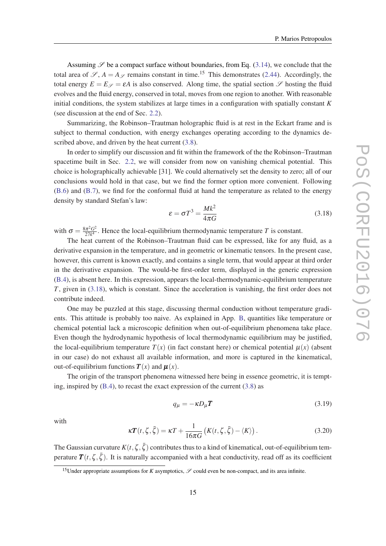<span id="page-15-0"></span>Assuming  $\mathscr S$  be a compact surface without boundaries, from Eq. ([3.14](#page-14-0)), we conclude that the total area of  $\mathscr{S}, A = A_{\mathscr{S}}$  remains constant in time.<sup>15</sup> This demonstrates [\(2.44](#page-10-0)). Accordingly, the total energy  $E = E_{\mathscr{S}} = \varepsilon A$  is also conserved. Along time, the spatial section  $\mathscr{S}$  hosting the fluid evolves and the fluid energy, conserved in total, moves from one region to another. With reasonable initial conditions, the system stabilizes at large times in a configuration with spatially constant *K* (see discussion at the end of Sec. [2.2](#page-5-0)).

Summarizing, the Robinson–Trautman holographic fluid is at rest in the Eckart frame and is subject to thermal conduction, with energy exchanges operating according to the dynamics described above, and driven by the heat current  $(3.8)$ .

In order to simplify our discussion and fit within the framework of the the Robinson–Trautman spacetime built in Sec. [2.2,](#page-5-0) we will consider from now on vanishing chemical potential. This choice is holographically achievable [31]. We could alternatively set the density to zero; all of our conclusions would hold in that case, but we find the former option more convenient. Following ([B.6](#page-25-0)) and [\(B.7\)](#page-25-0), we find for the conformal fluid at hand the temperature as related to the energy density by standard Stefan's law:

$$
\varepsilon = \sigma T^3 = \frac{Mk^2}{4\pi G} \tag{3.18}
$$

with  $\sigma = \frac{8\pi^2 G^2}{27k^4}$  $\frac{\pi^2 G^2}{27k^4}$ . Hence the local-equilibrium thermodynamic temperature *T* is constant.

The heat current of the Robinson–Trautman fluid can be expressed, like for any fluid, as a derivative expansion in the temperature, and in geometric or kinematic tensors. In the present case, however, this current is known exactly, and contains a single term, that would appear at third order in the derivative expansion. The would-be first-order term, displayed in the generic expression ([B.4](#page-24-0)), is absent here. In this expression, appears the local-thermodynamic-equilibrium temperature *T*, given in (3.18), which is constant. Since the acceleration is vanishing, the first order does not contribute indeed.

One may be puzzled at this stage, discussing thermal conduction without temperature gradients. This attitude is probably too naive. As explained in App. [B,](#page-23-0) quantities like temperature or chemical potential lack a microscopic definition when out-of-equilibrium phenomena take place. Even though the hydrodynamic hypothesis of local thermodynamic equilibrium may be justified, the local-equilibrium temperature  $T(x)$  (in fact constant here) or chemical potential  $\mu(x)$  (absent in our case) do not exhaust all available information, and more is captured in the kinematical, out-of-equilibrium functions  $\mathbf{T}(x)$  and  $\boldsymbol{\mu}(x)$ .

The origin of the transport phenomena witnessed here being in essence geometric, it is tempting, inspired by ([B.4](#page-24-0)), to recast the exact expression of the current ([3.8](#page-12-0)) as

$$
q_{\mu} = -\kappa D_{\mu} \mathbf{T} \tag{3.19}
$$

with

$$
\kappa \boldsymbol{T}(t,\zeta,\bar{\zeta}) = \kappa T + \frac{1}{16\pi G} \left( K(t,\zeta,\bar{\zeta}) - \langle K \rangle \right). \tag{3.20}
$$

The Gaussian curvature  $K(t, \zeta, \bar{\zeta})$  contributes thus to a kind of kinematical, out-of-equilibrium temperature  $T(t, \zeta, \bar{\zeta})$ . It is naturally accompanied with a heat conductivity, read off as its coefficient

<sup>&</sup>lt;sup>15</sup>Under appropriate assumptions for *K* asymptotics,  $\mathscr S$  could even be non-compact, and its area infinite.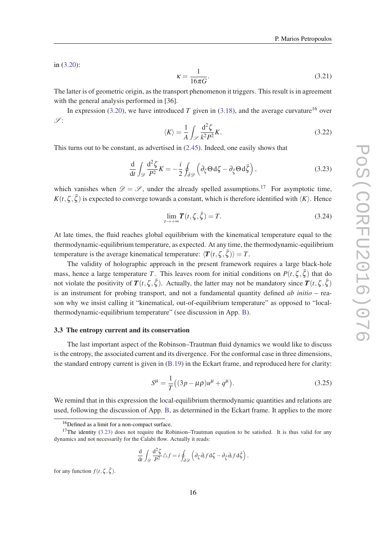<span id="page-16-0"></span>in [\(3.20](#page-15-0)):

$$
\kappa = \frac{1}{16\pi G}.\tag{3.21}
$$

The latter is of geometric origin, as the transport phenomenon it triggers. This result is in agreement with the general analysis performed in [36].

In expression [\(3.20](#page-15-0)), we have introduced *T* given in ([3.18\)](#page-15-0), and the average curvature<sup>16</sup> over  $\mathscr{S}$ :

$$
\langle K \rangle = \frac{1}{A} \int_{\mathscr{S}} \frac{\mathrm{d}^2 \zeta}{k^2 P^2} K. \tag{3.22}
$$

This turns out to be constant, as advertised in ([2.45\)](#page-10-0). Indeed, one easily shows that

$$
\frac{\mathrm{d}}{\mathrm{d}t} \int_{\mathscr{D}} \frac{\mathrm{d}^2 \zeta}{P^2} K = -\frac{i}{2} \oint_{\partial \mathscr{D}} \left( \partial_{\zeta} \Theta \, \mathrm{d} \zeta - \partial_{\bar{\zeta}} \Theta \, \mathrm{d} \bar{\zeta} \right),\tag{3.23}
$$

which vanishes when  $\mathcal{D} = \mathcal{S}$ , under the already spelled assumptions.<sup>17</sup> For asymptotic time,  $K(t, \zeta, \bar{\zeta})$  is expected to converge towards a constant, which is therefore identified with  $\langle K \rangle$ . Hence

$$
\lim_{t \to +\infty} \mathbf{T}(t, \zeta, \bar{\zeta}) = T. \tag{3.24}
$$

At late times, the fluid reaches global equilibrium with the kinematical temperature equal to the thermodynamic-equilibrium temperature, as expected. At any time, the thermodynamic-equilibrium temperature is the average kinematical temperature:  $\langle T(t,\zeta,\bar{\zeta})\rangle = T$ .

The validity of holographic approach in the present framework requires a large black-hole mass, hence a large temperature *T*. This leaves room for initial conditions on  $P(t, \zeta, \bar{\zeta})$  that do not violate the positivity of  $T(t, \zeta, \bar{\zeta})$ . Actually, the latter may not be mandatory since  $T(t, \zeta, \bar{\zeta})$ is an instrument for probing transport, and not a fundamental quantity defined *ab initio* – reason why we insist calling it "kinematical, out-of-equilibrium temperature" as opposed to "localthermodynamic-equilibrium temperature" (see discussion in App. [B\)](#page-23-0).

### 3.3 The entropy current and its conservation

The last important aspect of the Robinson–Trautman fluid dynamics we would like to discuss is the entropy, the associated current and its divergence. For the conformal case in three dimensions, the standard entropy current is given in ([B.19\)](#page-26-0) in the Eckart frame, and reproduced here for clarity:

$$
S^{\mu} = \frac{1}{T}((3p - \mu \rho)u^{\mu} + q^{\mu}).
$$
\n(3.25)

We remind that in this expression the local-equilibrium thermodynamic quantities and relations are used, following the discussion of App. [B](#page-23-0), as determined in the Eckart frame. It applies to the more

$$
\frac{\mathrm{d}}{\mathrm{d}t} \int_{\mathscr{D}} \frac{\mathrm{d}^2 \zeta}{P^2} \triangle f = i \oint_{\partial \mathscr{D}} \left( \partial_{\zeta} \partial_t f \, \mathrm{d} \zeta - \partial_{\bar{\zeta}} \partial_t f \, \mathrm{d} \bar{\zeta} \right),
$$

for any function  $f(t, \zeta, \bar{\zeta})$ .

<sup>16</sup>Defined as a limit for a non-compact surface.

 $17$ The identity (3.23) does not require the Robinson–Trautman equation to be satisfied. It is thus valid for any dynamics and not necessarily for the Calabi flow. Actually it reads: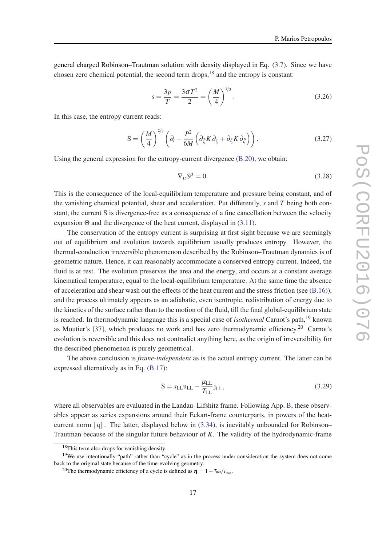<span id="page-17-0"></span>general charged Robinson–Trautman solution with density displayed in Eq. ([3.7](#page-12-0)). Since we have chosen zero chemical potential, the second term drops, $18$  and the entropy is constant:

$$
s = \frac{3p}{T} = \frac{3\sigma T^2}{2} = \left(\frac{M}{4}\right)^{2/3}.
$$
 (3.26)

In this case, the entropy current reads:

$$
S = \left(\frac{M}{4}\right)^{2/3} \left(\partial_t - \frac{P^2}{6M} \left(\partial_{\bar{\zeta}} K \partial_{\zeta} + \partial_{\zeta} K \partial_{\bar{\zeta}}\right)\right). \tag{3.27}
$$

Using the general expression for the entropy-current divergence ([B.20\)](#page-26-0), we obtain:

$$
\nabla_{\mu}S^{\mu} = 0. \tag{3.28}
$$

This is the consequence of the local-equilibrium temperature and pressure being constant, and of the vanishing chemical potential, shear and acceleration. Put differently, *s* and *T* being both constant, the current S is divergence-free as a consequence of a fine cancellation between the velocity expansion Θ and the divergence of the heat current, displayed in ([3.11](#page-13-0)).

The conservation of the entropy current is surprising at first sight because we are seemingly out of equilibrium and evolution towards equilibrium usually produces entropy. However, the thermal-conduction irreversible phenomenon described by the Robinson–Trautman dynamics is of geometric nature. Hence, it can reasonably accommodate a conserved entropy current. Indeed, the fluid is at rest. The evolution preserves the area and the energy, and occurs at a constant average kinematical temperature, equal to the local-equilibrium temperature. At the same time the absence of acceleration and shear wash out the effects of the heat current and the stress friction (see  $(B.16)$ ), and the process ultimately appears as an adiabatic, even isentropic, redistribution of energy due to the kinetics of the surface rather than to the motion of the fluid, till the final global-equilibrium state is reached. In thermodynamic language this is a special case of *isothermal* Carnot's path,<sup>19</sup> known as Moutier's [37], which produces no work and has zero thermodynamic efficiency.<sup>20</sup> Carnot's evolution is reversible and this does not contradict anything here, as the origin of irreversibility for the described phenomenon is purely geometrical.

The above conclusion is *frame-independent* as is the actual entropy current. The latter can be expressed alternatively as in Eq. ([B.17\)](#page-26-0):

$$
S = s_{\text{LL}} u_{\text{LL}} - \frac{\mu_{\text{LL}}}{T_{\text{LL}}} j_{\text{LL}},
$$
\n(3.29)

where all observables are evaluated in the Landau–Lifshitz frame. Following App. [B](#page-23-0), these observables appear as series expansions around their Eckart-frame counterparts, in powers of the heatcurrent norm  $\|q\|$ . The latter, displayed below in [\(3.34](#page-18-0)), is inevitably unbounded for Robinson– Trautman because of the singular future behaviour of *K*. The validity of the hydrodynamic-frame

<sup>18</sup>This term also drops for vanishing density.

<sup>&</sup>lt;sup>19</sup>We use intentionally "path" rather than "cycle" as in the process under consideration the system does not come back to the original state because of the time-evolving geometry.

<sup>&</sup>lt;sup>20</sup>The thermodynamic efficiency of a cycle is defined as  $\eta = 1 - T_{min}/T_{max}$ .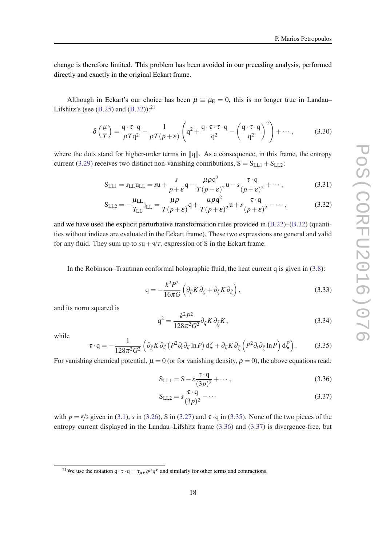<span id="page-18-0"></span>change is therefore limited. This problem has been avoided in our preceding analysis, performed directly and exactly in the original Eckart frame.

Although in Eckart's our choice has been  $\mu \equiv \mu_E = 0$ , this is no longer true in Landau– Lifshitz's (see  $(B.25)$  $(B.25)$  and  $(B.32)$  $(B.32)$ ):<sup>21</sup>

$$
\delta\left(\frac{\mu}{T}\right) = \frac{q \cdot \tau \cdot q}{\rho T q^2} - \frac{1}{\rho T (p + \varepsilon)} \left( q^2 + \frac{q \cdot \tau \cdot \tau \cdot q}{q^2} - \left( \frac{q \cdot \tau \cdot q}{q^2} \right)^2 \right) + \cdots, \tag{3.30}
$$

where the dots stand for higher-order terms in  $\|q\|$ . As a consequence, in this frame, the entropy current ([3.29\)](#page-17-0) receives two distinct non-vanishing contributions,  $S = S_{LL1} + S_{LL2}$ :

$$
S_{LL1} = s_{LL}u_{LL} = su + \frac{s}{p + \varepsilon}q - \frac{\mu\rho q^2}{T(p + \varepsilon)^2}u - s\frac{\tau \cdot q}{(p + \varepsilon)^2} + \cdots,
$$
 (3.31)

$$
S_{LL2} = -\frac{\mu_{LL}}{T_{LL}} j_{LL} = \frac{\mu \rho}{T(p+\varepsilon)} q + \frac{\mu \rho q^2}{T(p+\varepsilon)^2} u + s \frac{\tau \cdot q}{(p+\varepsilon)^2} - \cdots,
$$
 (3.32)

and we have used the explicit perturbative transformation rules provided in [\(B.22](#page-27-0))–[\(B.32](#page-28-0)) (quantities without indices are evaluated in the Eckart frame). These two expressions are general and valid for any fluid. They sum up to  $su + q/r$ , expression of S in the Eckart frame.

In the Robinson–Trautman conformal holographic fluid, the heat current q is given in ([3.8](#page-12-0)):

$$
q = -\frac{k^2 P^2}{16\pi G} \left( \partial_{\xi} K \partial_{\zeta} + \partial_{\zeta} K \partial_{\bar{\zeta}} \right), \tag{3.33}
$$

and its norm squared is

$$
q^2 = \frac{k^2 P^2}{128\pi^2 G^2} \partial_{\zeta} K \partial_{\bar{\zeta}} K,\tag{3.34}
$$

while

$$
\tau \cdot \mathbf{q} = -\frac{1}{128\pi^2 G^2} \left( \partial_{\xi} K \partial_{\zeta} \left( P^2 \partial_t \partial_{\zeta} \ln P \right) \mathrm{d}\zeta + \partial_{\zeta} K \partial_{\xi} \left( P^2 \partial_t \partial_{\zeta} \ln P \right) \mathrm{d}\bar{\zeta} \right). \tag{3.35}
$$

For vanishing chemical potential,  $\mu = 0$  (or for vanishing density,  $\rho = 0$ ), the above equations read:

$$
S_{LL1} = S - s \frac{\tau \cdot q}{(3p)^2} + \cdots,
$$
\n(3.36)

$$
S_{LL2} = s \frac{\tau \cdot q}{(3p)^2} - \dots \tag{3.37}
$$

with  $p = \frac{\varepsilon}{2}$  given in ([3.1](#page-11-0)), *s* in [\(3.26](#page-17-0)), S in ([3.27\)](#page-17-0) and  $\tau \cdot q$  in (3.35). None of the two pieces of the entropy current displayed in the Landau–Lifshitz frame (3.36) and (3.37) is divergence-free, but

<sup>&</sup>lt;sup>21</sup>We use the notation  $q \cdot \tau \cdot q = \tau_{\mu\nu} q^{\mu} q^{\nu}$  and similarly for other terms and contractions.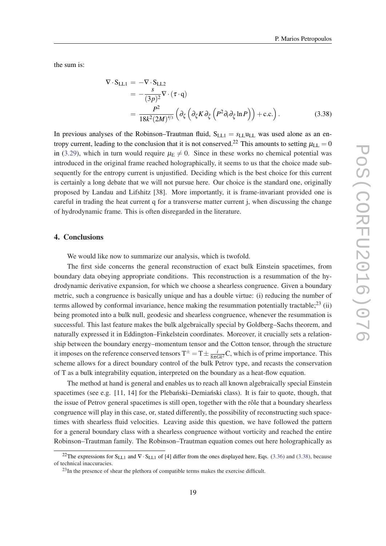<span id="page-19-0"></span>the sum is:

$$
\nabla \cdot S_{LL1} = -\nabla \cdot S_{LL2}
$$
  
=  $-\frac{s}{(3p)^2} \nabla \cdot (\tau \cdot q)$   
=  $\frac{P^2}{18k^2 (2M)^{4/3}} \left( \partial_{\zeta} \left( \partial_{\zeta} K \partial_{\bar{\zeta}} \left( P^2 \partial_t \partial_{\bar{\zeta}} \ln P \right) \right) + \text{c.c.} \right).$  (3.38)

In previous analyses of the Robinson–Trautman fluid,  $S_{LL1} = s_{LL}u_{LL}$  was used alone as an entropy current, leading to the conclusion that it is not conserved.<sup>22</sup> This amounts to setting  $\mu_{LL} = 0$ in [\(3.29](#page-17-0)), which in turn would require  $\mu_{\rm E} \neq 0$ . Since in these works no chemical potential was introduced in the original frame reached holographically, it seems to us that the choice made subsequently for the entropy current is unjustified. Deciding which is the best choice for this current is certainly a long debate that we will not pursue here. Our choice is the standard one, originally proposed by Landau and Lifshitz [38]. More importantly, it is frame-invariant provided one is careful in trading the heat current q for a transverse matter current j, when discussing the change of hydrodynamic frame. This is often disregarded in the literature.

## 4. Conclusions

We would like now to summarize our analysis, which is twofold.

The first side concerns the general reconstruction of exact bulk Einstein spacetimes, from boundary data obeying appropriate conditions. This reconstruction is a resummation of the hydrodynamic derivative expansion, for which we choose a shearless congruence. Given a boundary metric, such a congruence is basically unique and has a double virtue: (i) reducing the number of terms allowed by conformal invariance, hence making the resummation potentially tractable;  $23$  (ii) being promoted into a bulk null, geodesic and shearless congruence, whenever the resummation is successful. This last feature makes the bulk algebraically special by Goldberg–Sachs theorem, and naturally expressed it in Eddington–Finkelstein coordinates. Moreover, it crucially sets a relationship between the boundary energy–momentum tensor and the Cotton tensor, through the structure it imposes on the reference conserved tensors  $T^{\pm} = T \pm \frac{i}{8\pi G k^2}C$ , which is of prime importance. This scheme allows for a direct boundary control of the bulk Petrov type, and recasts the conservation of T as a bulk integrability equation, interpreted on the boundary as a heat-flow equation.

The method at hand is general and enables us to reach all known algebraically special Einstein spacetimes (see e.g.  $[11, 14]$  for the Plebanski–Demianski class). It is fair to quote, though, that the issue of Petrov general spacetimes is still open, together with the rôle that a boundary shearless congruence will play in this case, or, stated differently, the possibility of reconstructing such spacetimes with shearless fluid velocities. Leaving aside this question, we have followed the pattern for a general boundary class with a shearless congruence without vorticity and reached the entire Robinson–Trautman family. The Robinson–Trautman equation comes out here holographically as

<sup>&</sup>lt;sup>22</sup>The expressions for S<sub>LL1</sub> and  $\nabla \cdot S_{LL1}$  of [4] differ from the ones displayed here, Eqs. ([3.36](#page-18-0)) and (3.38), because of technical inaccuracies.

 $^{23}$ In the presence of shear the plethora of compatible terms makes the exercise difficult.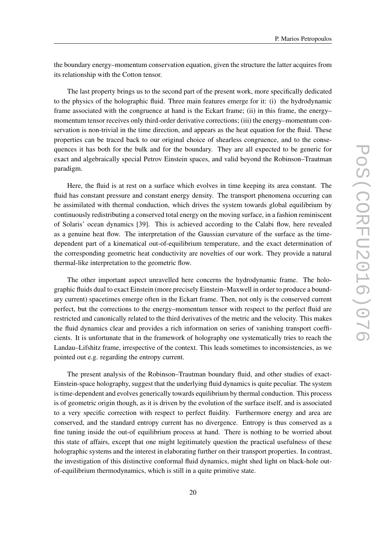the boundary energy–momentum conservation equation, given the structure the latter acquires from its relationship with the Cotton tensor.

The last property brings us to the second part of the present work, more specifically dedicated to the physics of the holographic fluid. Three main features emerge for it: (i) the hydrodynamic frame associated with the congruence at hand is the Eckart frame; (ii) in this frame, the energy– momentum tensor receives only third-order derivative corrections; (iii) the energy–momentum conservation is non-trivial in the time direction, and appears as the heat equation for the fluid. These properties can be traced back to our original choice of shearless congruence, and to the consequences it has both for the bulk and for the boundary. They are all expected to be generic for exact and algebraically special Petrov Einstein spaces, and valid beyond the Robinson–Trautman paradigm.

Here, the fluid is at rest on a surface which evolves in time keeping its area constant. The fluid has constant pressure and constant energy density. The transport phenomena occurring can be assimilated with thermal conduction, which drives the system towards global equilibrium by continuously redistributing a conserved total energy on the moving surface, in a fashion reminiscent of Solaris' ocean dynamics [39]. This is achieved according to the Calabi flow, here revealed as a genuine heat flow. The interpretation of the Gaussian curvature of the surface as the timedependent part of a kinematical out-of-equilibrium temperature, and the exact determination of the corresponding geometric heat conductivity are novelties of our work. They provide a natural thermal-like interpretation to the geometric flow.

The other important aspect unravelled here concerns the hydrodynamic frame. The holographic fluids dual to exact Einstein (more precisely Einstein–Maxwell in order to produce a boundary current) spacetimes emerge often in the Eckart frame. Then, not only is the conserved current perfect, but the corrections to the energy–momentum tensor with respect to the perfect fluid are restricted and canonically related to the third derivatives of the metric and the velocity. This makes the fluid dynamics clear and provides a rich information on series of vanishing transport coefficients. It is unfortunate that in the framework of holography one systematically tries to reach the Landau–Lifshitz frame, irrespective of the context. This leads sometimes to inconsistencies, as we pointed out e.g. regarding the entropy current.

The present analysis of the Robinson–Trautman boundary fluid, and other studies of exact-Einstein-space holography, suggest that the underlying fluid dynamics is quite peculiar. The system is time-dependent and evolves generically towards equilibrium by thermal conduction. This process is of geometric origin though, as it is driven by the evolution of the surface itself, and is associated to a very specific correction with respect to perfect fluidity. Furthermore energy and area are conserved, and the standard entropy current has no divergence. Entropy is thus conserved as a fine tuning inside the out-of equilibrium process at hand. There is nothing to be worried about this state of affairs, except that one might legitimately question the practical usefulness of these holographic systems and the interest in elaborating further on their transport properties. In contrast, the investigation of this distinctive conformal fluid dynamics, might shed light on black-hole outof-equilibrium thermodynamics, which is still in a quite primitive state.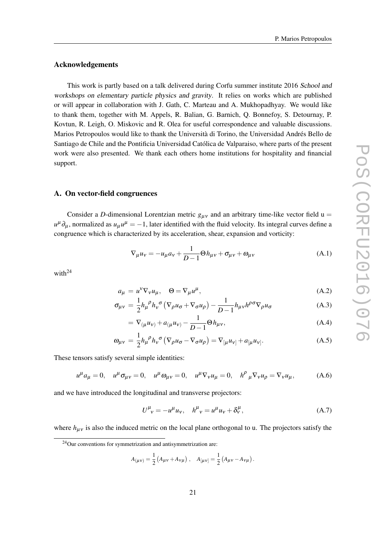#### <span id="page-21-0"></span>Acknowledgements

This work is partly based on a talk delivered during Corfu summer institute 2016 School and workshops on elementary particle physics and gravity. It relies on works which are published or will appear in collaboration with J. Gath, C. Marteau and A. Mukhopadhyay. We would like to thank them, together with M. Appels, R. Balian, G. Barnich, Q. Bonnefoy, S. Detournay, P. Kovtun, R. Leigh, O. Miskovic and R. Olea for useful correspondence and valuable discussions. Marios Petropoulos would like to thank the Università di Torino, the Universidad Andrés Bello de Santiago de Chile and the Pontificia Universidad Católica de Valparaiso, where parts of the present work were also presented. We thank each others home institutions for hospitality and financial support.

#### A. On vector-field congruences

Consider a *D*-dimensional Lorentzian metric  $g_{\mu\nu}$  and an arbitrary time-like vector field u =  $u^{\mu}\partial_{\mu}$ , normalized as  $u_{\mu}u^{\mu} = -1$ , later identified with the fluid velocity. Its integral curves define a congruence which is characterized by its acceleration, shear, expansion and vorticity:

$$
\nabla_{\mu} u_{v} = -u_{\mu} a_{v} + \frac{1}{D-1} \Theta h_{\mu v} + \sigma_{\mu v} + \omega_{\mu v}
$$
(A.1)

with $^{24}$ 

$$
a_{\mu} = u^{\nu} \nabla_{\nu} u_{\mu}, \quad \Theta = \nabla_{\mu} u^{\mu}, \tag{A.2}
$$

$$
\sigma_{\mu\nu} = \frac{1}{2} h_{\mu}{}^{\rho} h_{\nu}{}^{\sigma} \left( \nabla_{\rho} u_{\sigma} + \nabla_{\sigma} u_{\rho} \right) - \frac{1}{D - 1} h_{\mu\nu} h^{\rho \sigma} \nabla_{\rho} u_{\sigma}
$$
(A.3)

$$
= \nabla_{(\mu} u_{\nu)} + a_{(\mu} u_{\nu)} - \frac{1}{D - 1} \Theta h_{\mu\nu}, \tag{A.4}
$$

$$
\omega_{\mu\nu} = \frac{1}{2} h_{\mu}{}^{\rho} h_{\nu}{}^{\sigma} \left( \nabla_{\rho} u_{\sigma} - \nabla_{\sigma} u_{\rho} \right) = \nabla_{[\mu} u_{\nu]} + a_{[\mu} u_{\nu]}.
$$
\n(A.5)

These tensors satisfy several simple identities:

$$
u^{\mu}a_{\mu} = 0, \quad u^{\mu}\sigma_{\mu\nu} = 0, \quad u^{\mu}\omega_{\mu\nu} = 0, \quad u^{\mu}\nabla_{\nu}u_{\mu} = 0, \quad h^{\rho}{}_{\mu}\nabla_{\nu}u_{\rho} = \nabla_{\nu}u_{\mu}, \tag{A.6}
$$

and we have introduced the longitudinal and transverse projectors:

$$
U^{\mu}_{\ \nu} = -u^{\mu}u_{\nu}, \quad h^{\mu}_{\ \nu} = u^{\mu}u_{\nu} + \delta^{\mu}_{\nu}, \tag{A.7}
$$

where  $h_{\mu\nu}$  is also the induced metric on the local plane orthogonal to u. The projectors satisfy the

$$
A_{(\mu\nu)} = \frac{1}{2} \left( A_{\mu\nu} + A_{\nu\mu} \right), \quad A_{[\mu\nu]} = \frac{1}{2} \left( A_{\mu\nu} - A_{\nu\mu} \right).
$$

<sup>24</sup>Our conventions for symmetrization and antisymmetrization are: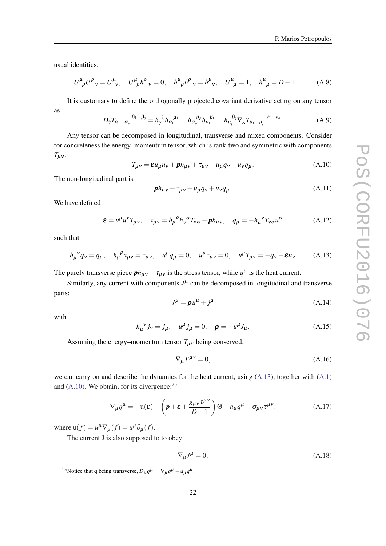<span id="page-22-0"></span>usual identities:

$$
U^{\mu}_{\ \rho} U^{\rho}_{\ \nu} = U^{\mu}_{\ \nu}, \quad U^{\mu}_{\ \rho} h^{\rho}_{\ \nu} = 0, \quad h^{\mu}_{\ \rho} h^{\rho}_{\ \nu} = h^{\mu}_{\ \nu}, \quad U^{\mu}_{\ \mu} = 1, \quad h^{\mu}_{\ \mu} = D - 1. \tag{A.8}
$$

It is customary to define the orthogonally projected covariant derivative acting on any tensor as

$$
D_{\gamma}T_{\alpha_1\ldots\alpha_p}^{\beta_1\ldots\beta_q} = h_{\gamma}^{\lambda}h_{\alpha_1}^{\mu_1}\ldots h_{\alpha_p}^{\mu_p}h_{\nu_1}^{\beta_1}\ldots h_{\nu_q}^{\beta_q}\nabla_{\lambda}T_{\mu_1\ldots\mu_p}^{\nu_1\ldots\nu_q}.
$$
 (A.9)

Any tensor can be decomposed in longitudinal, transverse and mixed components. Consider for concreteness the energy–momentum tensor, which is rank-two and symmetric with components  $T_{\mu\nu}$ :

$$
T_{\mu\nu} = \mathbf{\varepsilon} u_{\mu} u_{\nu} + \mathbf{p} h_{\mu\nu} + \tau_{\mu\nu} + u_{\mu} q_{\nu} + u_{\nu} q_{\mu}.
$$
 (A.10)

The non-longitudinal part is

$$
\boldsymbol{p}h_{\mu\nu} + \tau_{\mu\nu} + u_{\mu}q_{\nu} + u_{\nu}q_{\mu}.
$$
\n(A.11)

We have defined

$$
\boldsymbol{\varepsilon} = u^{\mu} u^{\nu} T_{\mu \nu}, \quad \tau_{\mu \nu} = h_{\mu}{}^{\rho} h_{\nu}{}^{\sigma} T_{\rho \sigma} - \boldsymbol{p} h_{\mu \nu}, \quad q_{\mu} = -h_{\mu}{}^{\nu} T_{\nu \sigma} u^{\sigma} \tag{A.12}
$$

such that

$$
h_{\mu}{}^{\nu}q_{\nu} = q_{\mu}, \quad h_{\mu}{}^{\rho}\tau_{\rho\nu} = \tau_{\mu\nu}, \quad u^{\mu}q_{\mu} = 0, \quad u^{\mu}\tau_{\mu\nu} = 0, \quad u^{\mu}T_{\mu\nu} = -q_{\nu} - \mathbf{\varepsilon}u_{\nu}.
$$
 (A.13)

The purely transverse piece  $ph_{\mu\nu} + \tau_{\mu\nu}$  is the stress tensor, while  $q^{\mu}$  is the heat current.

Similarly, any current with components  $J^{\mu}$  can be decomposed in longitudinal and transverse parts:

$$
J^{\mu} = \rho u^{\mu} + j^{\mu} \tag{A.14}
$$

with

$$
h_{\mu}{}^{\nu} j_{\nu} = j_{\mu}, \quad u^{\mu} j_{\mu} = 0, \quad \rho = -u^{\mu} J_{\mu}.
$$
 (A.15)

Assuming the energy–momentum tensor  $T_{\mu\nu}$  being conserved:

$$
\nabla_{\mu}T^{\mu\nu} = 0,\tag{A.16}
$$

we can carry on and describe the dynamics for the heat current, using (A.13), together with [\(A.1](#page-21-0)) and  $(A.10)$ . We obtain, for its divergence:<sup>25</sup>

$$
\nabla_{\mu}q^{\mu} = -\mathbf{u}(\boldsymbol{\varepsilon}) - \left(\boldsymbol{p} + \boldsymbol{\varepsilon} + \frac{g_{\mu\nu}\tau^{\mu\nu}}{D-1}\right)\Theta - a_{\mu}q^{\mu} - \sigma_{\mu\nu}\tau^{\mu\nu},\tag{A.17}
$$

where  $u(f) = u^{\mu} \nabla_{\mu}(f) = u^{\mu} \partial_{\mu}(f)$ .

The current J is also supposed to to obey

$$
\nabla_{\mu}J^{\mu} = 0, \tag{A.18}
$$

<sup>25</sup>Notice that q being transverse,  $D_{\mu}q^{\mu} = \nabla_{\mu}q^{\mu} - a_{\mu}q^{\mu}$ .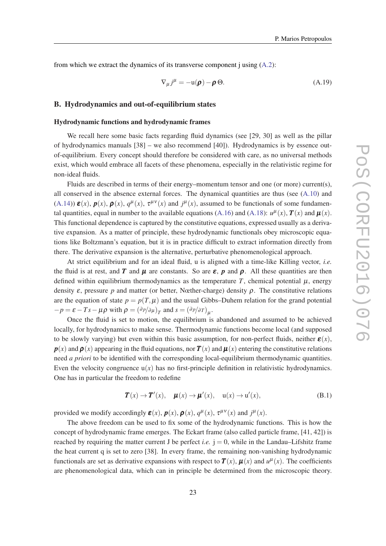<span id="page-23-0"></span>from which we extract the dynamics of its transverse component j using  $(A.2)$  $(A.2)$ :

$$
\nabla_{\mu} j^{\mu} = -\mathbf{u}(\boldsymbol{\rho}) - \boldsymbol{\rho} \,\Theta. \tag{A.19}
$$

## B. Hydrodynamics and out-of-equilibrium states

#### Hydrodynamic functions and hydrodynamic frames

We recall here some basic facts regarding fluid dynamics (see [29, 30] as well as the pillar of hydrodynamics manuals [38] – we also recommend [40]). Hydrodynamics is by essence outof-equilibrium. Every concept should therefore be considered with care, as no universal methods exist, which would embrace all facets of these phenomena, especially in the relativistic regime for non-ideal fluids.

Fluids are described in terms of their energy–momentum tensor and one (or more) current(s), all conserved in the absence external forces. The dynamical quantities are thus (see  $(A.10)$ ) and ([A.14](#page-22-0)))  $\varepsilon(x)$ ,  $p(x)$ ,  $\rho(x)$ ,  $q^{\mu}(x)$ ,  $\tau^{\mu\nu}(x)$  and  $j^{\mu}(x)$ , assumed to be functionals of some fundamen-tal quantities, equal in number to the available equations ([A.16\)](#page-22-0) and ([A.18](#page-22-0)):  $u^{\mu}(x)$ ,  $\bm{T}(x)$  and  $\bm{\mu}(x)$ . This functional dependence is captured by the constitutive equations, expressed usually as a derivative expansion. As a matter of principle, these hydrodynamic functionals obey microscopic equations like Boltzmann's equation, but it is in practice difficult to extract information directly from there. The derivative expansion is the alternative, perturbative phenomenological approach.

At strict equilibrium and for an ideal fluid, u is aligned with a time-like Killing vector, *i.e.* the fluid is at rest, and *T* and  $\mu$  are constants. So are  $\varepsilon$ , *p* and  $\rho$ . All these quantities are then defined within equilibrium thermodynamics as the temperature  $T$ , chemical potential  $\mu$ , energy density  $\varepsilon$ , pressure  $p$  and matter (or better, Nœther-charge) density  $\rho$ . The constitutive relations are the equation of state  $p = p(T, \mu)$  and the usual Gibbs–Duhem relation for the grand potential  $-p = \varepsilon - Ts - \mu \rho$  with  $\rho = (\partial p/\partial \mu)_T$  and  $s = (\partial p/\partial T)_\mu$ .

Once the fluid is set to motion, the equilibrium is abandoned and assumed to be achieved locally, for hydrodynamics to make sense. Thermodynamic functions become local (and supposed to be slowly varying) but even within this basic assumption, for non-perfect fluids, neither  $\mathcal{E}(x)$ ,  $p(x)$  and  $p(x)$  appearing in the fluid equations, nor  $T(x)$  and  $\mu(x)$  entering the constitutive relations need *a priori* to be identified with the corresponding local-equilibrium thermodynamic quantities. Even the velocity congruence  $u(x)$  has no first-principle definition in relativistic hydrodynamics. One has in particular the freedom to redefine

$$
T(x) \to T'(x), \quad \mu(x) \to \mu'(x), \quad u(x) \to u'(x), \tag{B.1}
$$

provided we modify accordingly  $\boldsymbol{\varepsilon}(x)$ ,  $\boldsymbol{p}(x)$ ,  $\boldsymbol{\rho}(x)$ ,  $q^{\mu}(x)$ ,  $\tau^{\mu\nu}(x)$  and  $j^{\mu}(x)$ .

The above freedom can be used to fix some of the hydrodynamic functions. This is how the concept of hydrodynamic frame emerges. The Eckart frame (also called particle frame, [41, 42]) is reached by requiring the matter current J be perfect *i.e.*  $i = 0$ , while in the Landau–Lifshitz frame the heat current q is set to zero [38]. In every frame, the remaining non-vanishing hydrodynamic functionals are set as derivative expansions with respect to  $T(x)$ ,  $\mu(x)$  and  $u^{\mu}(x)$ . The coefficients are phenomenological data, which can in principle be determined from the microscopic theory.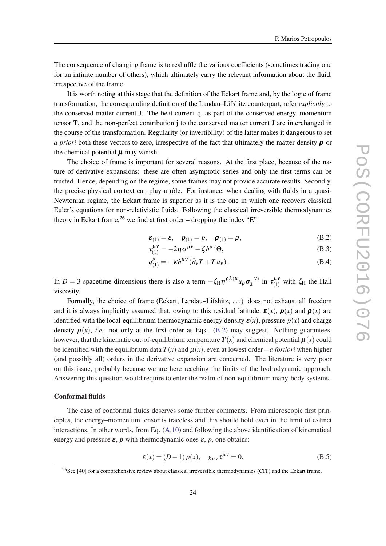<span id="page-24-0"></span>The consequence of changing frame is to reshuffle the various coefficients (sometimes trading one for an infinite number of others), which ultimately carry the relevant information about the fluid, irrespective of the frame.

It is worth noting at this stage that the definition of the Eckart frame and, by the logic of frame transformation, the corresponding definition of the Landau–Lifshitz counterpart, refer *explicitly* to the conserved matter current J. The heat current q, as part of the conserved energy–momentum tensor T, and the non-perfect contribution j to the conserved matter current J are interchanged in the course of the transformation. Regularity (or invertibility) of the latter makes it dangerous to set *a priori* both these vectors to zero, irrespective of the fact that ultimately the matter density  $\rho$  or the chemical potential  $\mu$  may vanish.

The choice of frame is important for several reasons. At the first place, because of the nature of derivative expansions: these are often asymptotic series and only the first terms can be trusted. Hence, depending on the regime, some frames may not provide accurate results. Secondly, the precise physical context can play a rôle. For instance, when dealing with fluids in a quasi-Newtonian regime, the Eckart frame is superior as it is the one in which one recovers classical Euler's equations for non-relativistic fluids. Following the classical irreversible thermodynamics theory in Eckart frame,  $26$  we find at first order – dropping the index "E":

$$
\boldsymbol{\varepsilon}_{(1)} = \varepsilon, \quad \boldsymbol{p}_{(1)} = \boldsymbol{p}, \quad \boldsymbol{\rho}_{(1)} = \boldsymbol{\rho}, \tag{B.2}
$$

$$
\tau_{(1)}^{\mu\nu} = -2\eta \sigma^{\mu\nu} - \zeta h^{\mu\nu} \Theta,
$$
\n(B.3)

$$
q_{(1)}^{\mu} = -\kappa h^{\mu\nu} \left( \partial_{\nu} T + T a_{\nu} \right). \tag{B.4}
$$

In *D* = 3 spacetime dimensions there is also a term  $-\zeta_H \eta^{\rho \lambda(\mu} u_\rho \sigma_\lambda^{\ \nu)}$  $\tau_{\lambda}^{(\nu)}$  in  $\tau_{(1)}^{\mu\nu}$  $\zeta_{(1)}^{\mu\nu}$  with  $\zeta_H$  the Hall viscosity.

Formally, the choice of frame (Eckart, Landau–Lifshitz, . . . ) does not exhaust all freedom and it is always implicitly assumed that, owing to this residual latitude,  $\mathbf{E}(x)$ ,  $p(x)$  and  $p(x)$  are identified with the local-equilibrium thermodynamic energy density  $\varepsilon(x)$ , pressure  $p(x)$  and charge density  $\rho(x)$ , *i.e.* not only at the first order as Eqs. (B.2) may suggest. Nothing guarantees, however, that the kinematic out-of-equilibrium temperature  $\mathbf{T}(x)$  and chemical potential  $\boldsymbol{\mu}(x)$  could be identified with the equilibrium data  $T(x)$  and  $\mu(x)$ , even at lowest order – *a fortiori* when higher (and possibly all) orders in the derivative expansion are concerned. The literature is very poor on this issue, probably because we are here reaching the limits of the hydrodynamic approach. Answering this question would require to enter the realm of non-equilibrium many-body systems.

#### Conformal fluids

The case of conformal fluids deserves some further comments. From microscopic first principles, the energy–momentum tensor is traceless and this should hold even in the limit of extinct interactions. In other words, from Eq. [\(A.10\)](#page-22-0) and following the above identification of kinematical energy and pressure  $\varepsilon$ ,  $p$  with thermodynamic ones  $\varepsilon$ ,  $p$ , one obtains:

$$
\varepsilon(x) = (D - 1) p(x), \quad g_{\mu\nu} \tau^{\mu\nu} = 0.
$$
 (B.5)

<sup>&</sup>lt;sup>26</sup>See [40] for a comprehensive review about classical irreversible thermodynamics (CIT) and the Eckart frame.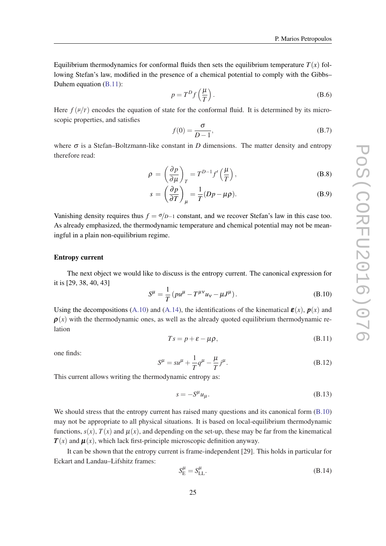<span id="page-25-0"></span>Equilibrium thermodynamics for conformal fluids then sets the equilibrium temperature  $T(x)$  following Stefan's law, modified in the presence of a chemical potential to comply with the Gibbs– Duhem equation (B.11):

$$
p = T^D f\left(\frac{\mu}{T}\right). \tag{B.6}
$$

Here  $f(\mu/T)$  encodes the equation of state for the conformal fluid. It is determined by its microscopic properties, and satisfies

$$
f(0) = \frac{\sigma}{D - 1},\tag{B.7}
$$

where  $\sigma$  is a Stefan–Boltzmann-like constant in *D* dimensions. The matter density and entropy therefore read:

$$
\rho = \left(\frac{\partial p}{\partial \mu}\right)_T = T^{D-1}f'\left(\frac{\mu}{T}\right),\tag{B.8}
$$

$$
s = \left(\frac{\partial p}{\partial T}\right)_{\mu} = \frac{1}{T}(Dp - \mu \rho).
$$
 (B.9)

Vanishing density requires thus  $f = \sigma/D-1$  constant, and we recover Stefan's law in this case too. As already emphasized, the thermodynamic temperature and chemical potential may not be meaningful in a plain non-equilibrium regime.

#### Entropy current

The next object we would like to discuss is the entropy current. The canonical expression for it is [29, 38, 40, 43]

$$
S^{\mu} = \frac{1}{T} \left( p u^{\mu} - T^{\mu \nu} u_{\nu} - \mu J^{\mu} \right).
$$
 (B.10)

Using the decompositions ([A.10](#page-22-0)) and [\(A.14\)](#page-22-0), the identifications of the kinematical  $\mathbf{g}(x)$ ,  $p(x)$  and  $\rho(x)$  with the thermodynamic ones, as well as the already quoted equilibrium thermodynamic relation

$$
Ts = p + \varepsilon - \mu \rho, \tag{B.11}
$$

one finds:

$$
S^{\mu} = su^{\mu} + \frac{1}{T}q^{\mu} - \frac{\mu}{T}j^{\mu}.
$$
 (B.12)

This current allows writing the thermodynamic entropy as:

$$
s = -S^{\mu}u_{\mu}.
$$
 (B.13)

We should stress that the entropy current has raised many questions and its canonical form  $(B.10)$ may not be appropriate to all physical situations. It is based on local-equilibrium thermodynamic functions,  $s(x)$ ,  $T(x)$  and  $\mu(x)$ , and depending on the set-up, these may be far from the kinematical  $T(x)$  and  $\mu(x)$ , which lack first-principle microscopic definition anyway.

It can be shown that the entropy current is frame-independent [29]. This holds in particular for Eckart and Landau–Lifshitz frames:

$$
S_{\rm E}^{\mu} = S_{\rm LL}^{\mu}.\tag{B.14}
$$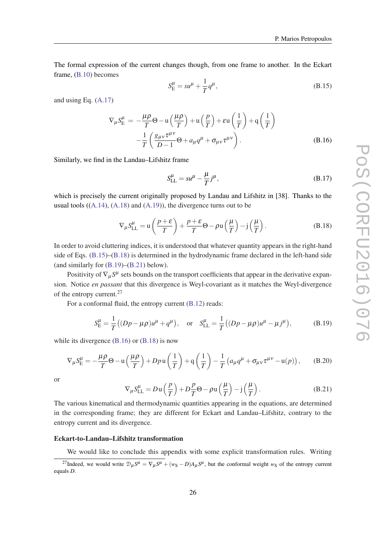<span id="page-26-0"></span>The formal expression of the current changes though, from one frame to another. In the Eckart frame, ([B.10\)](#page-25-0) becomes

$$
S_{\rm E}^{\mu} = su^{\mu} + \frac{1}{T}q^{\mu},\tag{B.15}
$$

and using Eq. [\(A.17\)](#page-22-0)

$$
\nabla_{\mu} S_{\mathcal{E}}^{\mu} = -\frac{\mu \rho}{T} \Theta - \mathbf{u} \left( \frac{\mu \rho}{T} \right) + \mathbf{u} \left( \frac{p}{T} \right) + \varepsilon \mathbf{u} \left( \frac{1}{T} \right) + \mathbf{q} \left( \frac{1}{T} \right)
$$

$$
-\frac{1}{T} \left( \frac{g_{\mu\nu} \tau^{\mu\nu}}{D - 1} \Theta + a_{\mu} q^{\mu} + \sigma_{\mu\nu} \tau^{\mu\nu} \right). \tag{B.16}
$$

Similarly, we find in the Landau–Lifshitz frame

$$
S_{LL}^{\mu} = su^{\mu} - \frac{\mu}{T} j^{\mu},\tag{B.17}
$$

which is precisely the current originally proposed by Landau and Lifshitz in [38]. Thanks to the usual tools  $((A.14), (A.18)$  $((A.14), (A.18)$  $((A.14), (A.18)$  $((A.14), (A.18)$  $((A.14), (A.18)$  and  $(A.19)$  $(A.19)$  $(A.19)$ , the divergence turns out to be

$$
\nabla_{\mu} S_{\text{LL}}^{\mu} = \mathbf{u} \left( \frac{p + \varepsilon}{T} \right) + \frac{p + \varepsilon}{T} \Theta - \rho \mathbf{u} \left( \frac{\mu}{T} \right) - \mathbf{j} \left( \frac{\mu}{T} \right). \tag{B.18}
$$

In order to avoid cluttering indices, it is understood that whatever quantity appears in the right-hand side of Eqs. (B.15)–(B.18) is determined in the hydrodynamic frame declared in the left-hand side (and similarly for (B.19)–(B.21) below).

Positivity of  $\nabla_{\mu} S^{\mu}$  sets bounds on the transport coefficients that appear in the derivative expansion. Notice *en passant* that this divergence is Weyl-covariant as it matches the Weyl-divergence of the entropy current.<sup>27</sup>

For a conformal fluid, the entropy current [\(B.12](#page-25-0)) reads:

$$
S_{\rm E}^{\mu} = \frac{1}{T} \left( (Dp - \mu \rho) u^{\mu} + q^{\mu} \right), \quad \text{or} \quad S_{\rm LL}^{\mu} = \frac{1}{T} \left( (Dp - \mu \rho) u^{\mu} - \mu j^{\mu} \right), \tag{B.19}
$$

while its divergence (B.16) or (B.18) is now

$$
\nabla_{\mu} S_{\mathcal{E}}^{\mu} = -\frac{\mu \rho}{T} \Theta - \mathbf{u} \left( \frac{\mu \rho}{T} \right) + D p \mathbf{u} \left( \frac{1}{T} \right) + \mathbf{q} \left( \frac{1}{T} \right) - \frac{1}{T} \left( a_{\mu} q^{\mu} + \sigma_{\mu \nu} \tau^{\mu \nu} - \mathbf{u}(p) \right), \tag{B.20}
$$

or

$$
\nabla_{\mu} S_{LL}^{\mu} = D u \left( \frac{p}{T} \right) + D \frac{p}{T} \Theta - \rho u \left( \frac{\mu}{T} \right) - j \left( \frac{\mu}{T} \right). \tag{B.21}
$$

The various kinematical and thermodynamic quantities appearing in the equations, are determined in the corresponding frame; they are different for Eckart and Landau–Lifshitz, contrary to the entropy current and its divergence.

#### Eckart-to-Landau–Lifshitz transformation

We would like to conclude this appendix with some explicit transformation rules. Writing <sup>27</sup>Indeed, we would write  $\mathcal{D}_{\mu}S^{\mu} = \nabla_{\mu}S^{\mu} + (w_S - D)A_{\mu}S^{\mu}$ , but the conformal weight  $w_S$  of the entropy current equals *D*.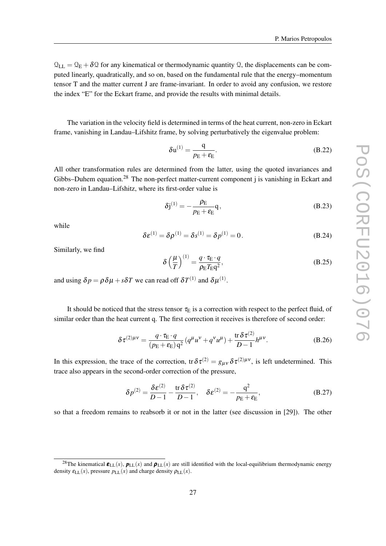<span id="page-27-0"></span> $\mathcal{Q}_{LL} = \mathcal{Q}_E + \delta \mathcal{Q}$  for any kinematical or thermodynamic quantity  $\mathcal{Q}$ , the displacements can be computed linearly, quadratically, and so on, based on the fundamental rule that the energy–momentum tensor T and the matter current J are frame-invariant. In order to avoid any confusion, we restore the index "E" for the Eckart frame, and provide the results with minimal details.

The variation in the velocity field is determined in terms of the heat current, non-zero in Eckart frame, vanishing in Landau–Lifshitz frame, by solving perturbatively the eigenvalue problem:

$$
\delta \mathbf{u}^{(1)} = \frac{\mathbf{q}}{p_{\rm E} + \varepsilon_{\rm E}}.\tag{B.22}
$$

All other transformation rules are determined from the latter, using the quoted invariances and Gibbs–Duhem equation.<sup>28</sup> The non-perfect matter-current component *j* is vanishing in Eckart and non-zero in Landau–Lifshitz, where its first-order value is

$$
\delta j^{(1)} = -\frac{\rho_{\rm E}}{p_{\rm E} + \varepsilon_{\rm E}} \mathbf{q},\tag{B.23}
$$

while

$$
\delta \varepsilon^{(1)} = \delta \rho^{(1)} = \delta s^{(1)} = \delta p^{(1)} = 0.
$$
 (B.24)

Similarly, we find

$$
\delta \left(\frac{\mu}{T}\right)^{(1)} = \frac{q \cdot \tau_{\rm E} \cdot q}{\rho_{\rm E} T_{\rm E} q^2},\tag{B.25}
$$

and using  $\delta p = \rho \delta \mu + s \delta T$  we can read off  $\delta T^{(1)}$  and  $\delta \mu^{(1)}$ .

It should be noticed that the stress tensor  $\tau_E$  is a correction with respect to the perfect fluid, of similar order than the heat current q. The first correction it receives is therefore of second order:

$$
\delta \tau^{(2)\mu\nu} = \frac{q \cdot \tau_{\rm E} \cdot q}{(p_{\rm E} + \varepsilon_{\rm E})q^2} \left( q^{\mu} u^{\nu} + q^{\nu} u^{\mu} \right) + \frac{\text{tr}\,\delta \tau^{(2)}}{D-1} h^{\mu\nu}.
$$
 (B.26)

In this expression, the trace of the correction, tr $\delta \tau^{(2)} = g_{\mu\nu} \delta \tau^{(2)\mu\nu}$ , is left undetermined. This trace also appears in the second-order correction of the pressure,

$$
\delta p^{(2)} = \frac{\delta \varepsilon^{(2)}}{D-1} - \frac{\text{tr}\,\delta \tau^{(2)}}{D-1}, \quad \delta \varepsilon^{(2)} = -\frac{q^2}{p_E + \varepsilon_E},\tag{B.27}
$$

so that a freedom remains to reabsorb it or not in the latter (see discussion in [29]). The other

<sup>&</sup>lt;sup>28</sup>The kinematical  $\mathbf{\varepsilon}_{\text{LL}}(x)$ ,  $\mathbf{p}_{\text{LL}}(x)$  and  $\mathbf{\rho}_{\text{LL}}(x)$  are still identified with the local-equilibrium thermodynamic energy density  $\varepsilon_{LL}(x)$ , pressure  $p_{LL}(x)$  and charge density  $\rho_{LL}(x)$ .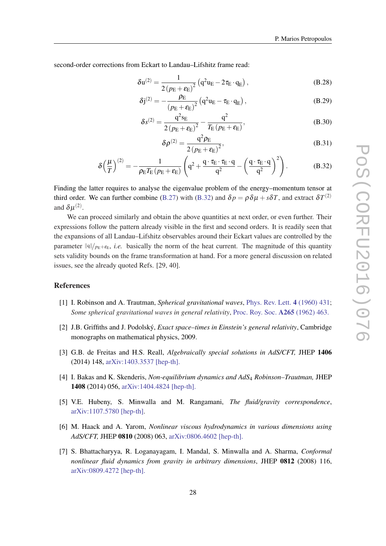<span id="page-28-0"></span>second-order corrections from Eckart to Landau–Lifshitz frame read:

$$
\delta \mathbf{u}^{(2)} = \frac{1}{2\left(p_{\rm E} + \varepsilon_{\rm E}\right)^2} \left(\mathbf{q}^2 \mathbf{u}_{\rm E} - 2\tau_{\rm E} \cdot \mathbf{q}_{\rm E}\right),\tag{B.28}
$$

$$
\delta j^{(2)} = -\frac{\rho_{\rm E}}{\left(p_{\rm E} + \varepsilon_{\rm E}\right)^2} \left(q^2 u_{\rm E} - \tau_{\rm E} \cdot q_{\rm E}\right),\tag{B.29}
$$

$$
\delta s^{(2)} = \frac{q^2 s_E}{2 (p_E + \varepsilon_E)^2} - \frac{q^2}{T_E (p_E + \varepsilon_E)},
$$
(B.30)

$$
\delta \rho^{(2)} = \frac{q^2 \rho_E}{2\left(p_E + \varepsilon_E\right)^2},\tag{B.31}
$$

$$
\delta \left(\frac{\mu}{T}\right)^{(2)} = -\frac{1}{\rho_{\rm E} T_{\rm E} \left(p_{\rm E} + \varepsilon_{\rm E}\right)} \left(q^2 + \frac{q \cdot \tau_{\rm E} \cdot \tau_{\rm E} \cdot q}{q^2} - \left(\frac{q \cdot \tau_{\rm E} \cdot q}{q^2}\right)^2\right). \tag{B.32}
$$

Finding the latter requires to analyse the eigenvalue problem of the energy–momentum tensor at third order. We can further combine [\(B.27](#page-27-0)) with (B.32) and  $\delta p = \rho \delta \mu + s \delta T$ , and extract  $\delta T^{(2)}$ and  $\delta \mu^{(2)}$ .

We can proceed similarly and obtain the above quantities at next order, or even further. Their expressions follow the pattern already visible in the first and second orders. It is readily seen that the expansions of all Landau–Lifshitz observables around their Eckart values are controlled by the parameter  $\|\phi\|_{p_E+\varepsilon_E}$ , *i.e.* basically the norm of the heat current. The magnitude of this quantity sets validity bounds on the frame transformation at hand. For a more general discussion on related issues, see the already quoted Refs. [29, 40].

#### References

- [1] I. Robinson and A. Trautman, *Spherical gravitational waves*, [Phys. Rev. Lett.](https://journals.aps.org/prl/abstract/10.1103/PhysRevLett.4.431) 4 (1960) 431; *Some spherical gravitational waves in general relativity*, [Proc. Roy. Soc.](http://rspa.royalsocietypublishing.org/content/265/1323/463) A265 (1962) 463.
- [2] J.B. Griffiths and J. Podolský, *Exact space–times in Einstein's general relativity*, Cambridge monographs on mathematical physics, 2009.
- [3] G.B. de Freitas and H.S. Reall, *Algebraically special solutions in AdS/CFT,* JHEP 1406 (2014) 148, [arXiv:1403.3537 \[hep-th\].](http://arxiv.org/abs/1403.3537)
- [4] I. Bakas and K. Skenderis, *Non-equilibrium dynamics and AdS*<sup>4</sup> *Robinson–Trautman,* JHEP 1408 (2014) 056, [arXiv:1404.4824 \[hep-th\].](http://arxiv.org/abs/1404.4824)
- [5] V.E. Hubeny, S. Minwalla and M. Rangamani, *The fluid/gravity correspondence*, [arXiv:1107.5780 \[hep-th\]](http://arxiv.org/abs/1107.5780).
- [6] M. Haack and A. Yarom, *Nonlinear viscous hydrodynamics in various dimensions using AdS/CFT,* JHEP 0810 (2008) 063, [arXiv:0806.4602 \[hep-th\].](http://arxiv.org/abs/0806.4602)
- [7] S. Bhattacharyya, R. Loganayagam, I. Mandal, S. Minwalla and A. Sharma, *Conformal nonlinear fluid dynamics from gravity in arbitrary dimensions*, JHEP 0812 (2008) 116, [arXiv:0809.4272 \[hep-th\].](http://arxiv.org/abs/0809.4272)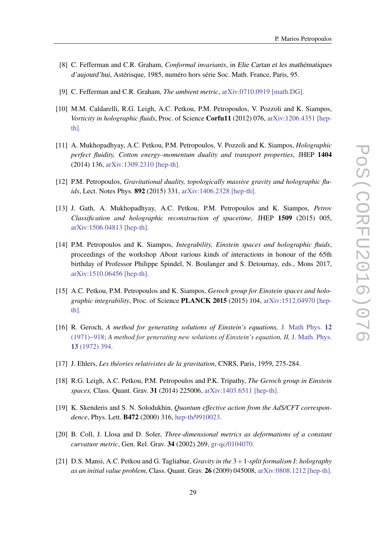- [8] C. Fefferman and C.R. Graham, *Conformal invariants*, in Elie Cartan et les mathématiques d'aujourd'hui, Astérisque, 1985, numéro hors série Soc. Math. France, Paris, 95.
- [9] C. Fefferman and C.R. Graham, *The ambient metric*, [arXiv:0710.0919 \[math.DG\].](http://arxiv.org/abs/0710.0919)
- [10] M.M. Caldarelli, R.G. Leigh, A.C. Petkou, P.M. Petropoulos, V. Pozzoli and K. Siampos, *Vorticity in holographic fluids*, Proc. of Science Corfu11 (2012) 076, [arXiv:1206.4351 \[hep](http://arxiv.org/abs/1206.4351)[th\].](http://arxiv.org/abs/1206.4351)
- [11] A. Mukhopadhyay, A.C. Petkou, P.M. Petropoulos, V. Pozzoli and K. Siampos, *Holographic perfect fluidity, Cotton energy–momentum duality and transport properties*, JHEP 1404 (2014) 136, [arXiv:1309.2310 \[hep-th\].](http://arxiv.org/abs/1309.2310)
- [12] P.M. Petropoulos, *Gravitational duality, topologically massive gravity and holographic fluids*, Lect. Notes Phys. 892 (2015) 331, [arXiv:1406.2328 \[hep-th\]](http://arxiv.org/abs/1406.2328).
- [13] J. Gath, A. Mukhopadhyay, A.C. Petkou, P.M. Petropoulos and K. Siampos, *Petrov Classification and holographic reconstruction of spacetime*, JHEP 1509 (2015) 005, [arXiv:1506.04813 \[hep-th\].](http://arxiv.org/abs/1506.04813)
- [14] P.M. Petropoulos and K. Siampos, *Integrability, Einstein spaces and holographic fluids*, proceedings of the workshop About various kinds of interactions in honour of the 65th birthday of Professor Philippe Spindel, N. Boulanger and S. Detournay, eds., Mons 2017, [arXiv:1510.06456 \[hep-th\].](http://arxiv.org/abs/1510.06456)
- [15] A.C. Petkou, P.M. Petropoulos and K. Siampos, *Geroch group for Einstein spaces and holographic integrability*, Proc. of Science PLANCK 2015 (2015) 104, [arXiv:1512.04970 \[hep](http://arxiv.org/abs/1512.04970)[th\].](http://arxiv.org/abs/1512.04970)
- [16] R. Geroch, *A method for generating solutions of Einstein's equations,* [J. Math Phys.](http://scitation.aip.org/content/aip/journal/jmp/12/6/10.1063/1.1665681) 12 [\(1971\)~918](http://scitation.aip.org/content/aip/journal/jmp/12/6/10.1063/1.1665681); *A method for generating new solutions of Einstein's equation, II,* [J. Math. Phys.](http://scitation.aip.org/content/aip/journal/jmp/13/3/10.1063/1.1665990) 13 [\(1972\) 394.](http://scitation.aip.org/content/aip/journal/jmp/13/3/10.1063/1.1665990)
- [17] J. Ehlers, *Les théories relativistes de la gravitation*, CNRS, Paris, 1959, 275-284.
- [18] R.G. Leigh, A.C. Petkou, P.M. Petropoulos and P.K. Tripathy, *The Geroch group in Einstein spaces,* Class. Quant. Grav. 31 (2014) 225006, [arXiv:1403.6511 \[hep-th\].](http://arxiv.org/abs/1403.6511)
- [19] K. Skenderis and S. N. Solodukhin, *Quantum effective action from the AdS/CFT correspondence*, Phys. Lett. B472 (2000) 316, [hep-th/9910023.](https://arxiv.org/abs/hep-th/9910023)
- [20] B. Coll, J. Llosa and D. Soler, *Three-dimensional metrics as deformations of a constant curvature metric*, Gen. Rel. Grav. 34 (2002) 269, [gr-qc/0104070.](http://arxiv.org/abs/gr-qc/0104070)
- [21] D.S. Mansi, A.C. Petkou and G. Tagliabue, *Gravity in the* 3+1*-split formalism I: holography as an initial value problem*, Class. Quant. Grav. 26 (2009) 045008, [arXiv:0808.1212 \[hep-th\].](http://arxiv.org/abs/0808.1212)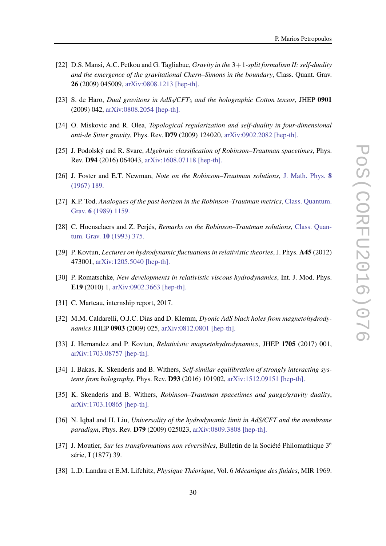- [22] D.S. Mansi, A.C. Petkou and G. Tagliabue, *Gravity in the* 3+1*-split formalism II: self-duality and the emergence of the gravitational Chern–Simons in the boundary*, Class. Quant. Grav. 26 (2009) 045009, [arXiv:0808.1213 \[hep-th\].](http://arxiv.org/abs/0808.1213)
- [23] S. de Haro, *Dual gravitons in AdS*4*/CFT*<sup>3</sup> *and the holographic Cotton tensor*, JHEP 0901 (2009) 042, [arXiv:0808.2054 \[hep-th\].](http://arxiv.org/abs/0808.2054)
- [24] O. Miskovic and R. Olea, *Topological regularization and self-duality in four-dimensional anti-de Sitter gravity*, Phys. Rev. D79 (2009) 124020, [arXiv:0902.2082 \[hep-th\].](https://arxiv.org/abs/0902.2082)
- [25] J. Podolský and R. Svarc, *Algebraic classification of Robinson–Trautman spacetimes*, Phys. Rev. D94 (2016) 064043, [arXiv:1608.07118 \[hep-th\].](http://arxiv.org/abs/1608.07118)
- [26] J. Foster and E.T. Newman, *Note on the Robinson–Trautman solutions*, [J. Math. Phys.](http://scitation.aip.org/content/aip/journal/jmp/8/2/10.1063/1.1705185) 8 [\(1967\) 189.](http://scitation.aip.org/content/aip/journal/jmp/8/2/10.1063/1.1705185)
- [27] K.P. Tod, *Analogues of the past horizon in the Robinson–Trautman metrics*, [Class. Quantum.](http://iopscience.iop.org/article/10.1088/0264-9381/6/8/015/pdf) Grav. 6 [\(1989\) 1159.](http://iopscience.iop.org/article/10.1088/0264-9381/6/8/015/pdf)
- [28] C. Hoenselaers and Z. Perjés, *Remarks on the Robinson–Trautman solutions*, [Class. Quan](http://iopscience.iop.org/article/10.1088/0264-9381/10/2/019/pdf)tum. Grav. 10 [\(1993\) 375.](http://iopscience.iop.org/article/10.1088/0264-9381/10/2/019/pdf)
- [29] P. Kovtun, *Lectures on hydrodynamic fluctuations in relativistic theories*, J. Phys. A45 (2012) 473001, [arXiv:1205.5040 \[hep-th\].](http://arxiv.org/abs/1205.5040)
- [30] P. Romatschke, *New developments in relativistic viscous hydrodynamics*, Int. J. Mod. Phys. E19 (2010) 1, [arXiv:0902.3663 \[hep-th\].](http://arxiv.org/abs/0902.3663)
- [31] C. Marteau, internship report, 2017.
- [32] M.M. Caldarelli, O.J.C. Dias and D. Klemm, *Dyonic AdS black holes from magnetohydrodynamics* JHEP 0903 (2009) 025, [arXiv:0812.0801 \[hep-th\].](https://arxiv.org/abs/0812.0801)
- [33] J. Hernandez and P. Kovtun, *Relativistic magnetohydrodynamics*, JHEP 1705 (2017) 001, [arXiv:1703.08757 \[hep-th\].](https://arxiv.org/abs/1703.08757v1)
- [34] I. Bakas, K. Skenderis and B. Withers, *Self-similar equilibration of strongly interacting systems from holography*, Phys. Rev. D93 (2016) 101902, [arXiv:1512.09151 \[hep-th\].](https://arxiv.org/abs/1512.09151)
- [35] K. Skenderis and B. Withers, *Robinson–Trautman spacetimes and gauge/gravity duality*, [arXiv:1703.10865 \[hep-th\].](https://arxiv.org/abs/1703.10865)
- [36] N. Iqbal and H. Liu, *Universality of the hydrodynamic limit in AdS/CFT and the membrane paradigm*, Phys. Rev. D79 (2009) 025023, [arXiv:0809.3808 \[hep-th\].](https://arxiv.org/abs/0809.3808)
- [37] J. Moutier, *Sur les transformations non réversibles*, Bulletin de la Société Philomathique 3<sup>e</sup> série, I (1877) 39.
- [38] L.D. Landau et E.M. Lifchitz, *Physique Théorique*, Vol. 6 *Mécanique des fluides*, MIR 1969.